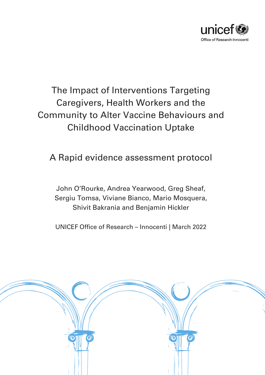

# The Impact of Interventions Targeting Caregivers, Health Workers and the Community to Alter Vaccine Behaviours and Childhood Vaccination Uptake

# A Rapid evidence assessment protocol

John O'Rourke, Andrea Yearwood, Greg Sheaf, Sergiu Tomsa, Viviane Bianco, Mario Mosquera, Shivit Bakrania and Benjamin Hickler

UNICEF Office of Research – Innocenti | March 2022

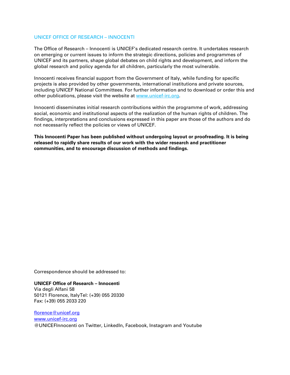#### UNICEF OFFICE OF RESEARCH – INNOCENTI

The Office of Research – Innocenti is UNICEF's dedicated research centre. It undertakes research on emerging or current issues to inform the strategic directions, policies and programmes of UNICEF and its partners, shape global debates on child rights and development, and inform the global research and policy agenda for all children, particularly the most vulnerable.

Innocenti receives financial support from the Government of Italy, while funding for specific projects is also provided by other governments, international institutions and private sources, including UNICEF National Committees. For further information and to download or order this and other publications, please visit the website at [www.unicef-irc.org.](http://www.unicef-irc.org/)

Innocenti disseminates initial research contributions within the programme of work, addressing social, economic and institutional aspects of the realization of the human rights of children. The findings, interpretations and conclusions expressed in this paper are those of the authors and do not necessarily reflect the policies or views of UNICEF.

**This Innocenti Paper has been published without undergoing layout or proofreading. It is being released to rapidly share results of our work with the wider research and practitioner communities, and to encourage discussion of methods and findings.**

Correspondence should be addressed to:

**UNICEF Office of Research – Innocenti**  Via degli Alfani 58 50121 Florence, ItalyTel: (+39) 055 20330 Fax: (+39) 055 2033 220

[florence@unicef.org](mailto:florence@unicef.org) [www.unicef-irc.org](http://www.unicef-irc.org/) @UNICEFInnocenti on Twitter, LinkedIn, Facebook, Instagram and Youtube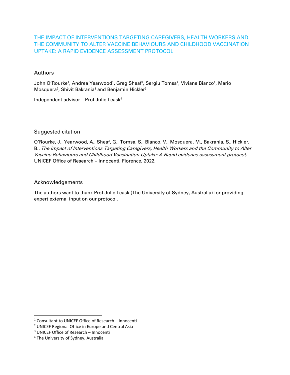## THE IMPACT OF INTERVENTIONS TARGETING CAREGIVERS, HEALTH WORKERS AND THE COMMUNITY TO ALTER VACCINE BEHAVIOURS AND CHILDHOOD VACCINATION UPTAKE: A RAPID EVIDENCE ASSESSMENT PROTOCOL

#### Authors

John O'Rourke<sup>[1](#page-2-0)</sup>, Andrea Yearwood<sup>1</sup>, Greg Sheaf<sup>1</sup>, Sergiu Tomsa<sup>[2](#page-2-1)</sup>, Viviane Bianco<sup>2</sup>, Mario Mosquera<sup>2</sup>, Shivit Bakrania<sup>[3](#page-2-2)</sup> and Benjamin Hickler<sup>3</sup>

Independent advisor – Prof Julie Leask[4](#page-2-3)

#### Suggested citation

O'Rourke, J., Yearwood, A., Sheaf, G., Tomsa, S., Bianco, V., Mosquera, M., Bakrania, S., Hickler, B., The Impact of Interventions Targeting Caregivers, Health Workers and the Community to Alter Vaccine Behaviours and Childhood Vaccination Uptake: A Rapid evidence assessment protocol, UNICEF Office of Research – Innocenti, Florence, 2022.

#### Acknowledgements

The authors want to thank Prof Julie Leask (The University of Sydney, Australia) for providing expert external input on our protocol.

<span id="page-2-2"></span><sup>3</sup> UNICEF Office of Research – Innocenti

<span id="page-2-0"></span><sup>1</sup> Consultant to UNICEF Office of Research – Innocenti

<span id="page-2-1"></span><sup>2</sup> UNICEF Regional Office in Europe and Central Asia

<span id="page-2-3"></span><sup>4</sup> The University of Sydney, Australia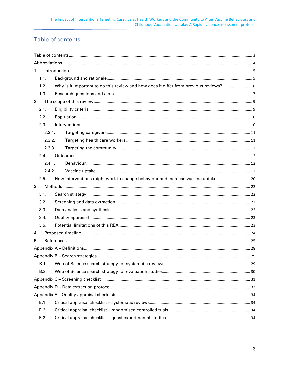# <span id="page-3-0"></span>**Table of contents**

| 1.     |                                                                                 |      |  |  |
|--------|---------------------------------------------------------------------------------|------|--|--|
| 1.1.   |                                                                                 |      |  |  |
| 1.2.   |                                                                                 |      |  |  |
| 1.3.   |                                                                                 |      |  |  |
| 2.     |                                                                                 |      |  |  |
| 2.1.   |                                                                                 |      |  |  |
| 2.2.   |                                                                                 |      |  |  |
| 2.3.   |                                                                                 |      |  |  |
| 2.3.1. |                                                                                 |      |  |  |
| 2.3.2. |                                                                                 |      |  |  |
| 2.3.3. |                                                                                 |      |  |  |
| 2.4.   |                                                                                 |      |  |  |
| 2.4.1. |                                                                                 |      |  |  |
| 2.4.2. |                                                                                 |      |  |  |
| 2.5.   | How interventions might work to change behaviour and increase vaccine uptake 20 |      |  |  |
| 3.     |                                                                                 |      |  |  |
| 3.1.   |                                                                                 |      |  |  |
| 3.2.   |                                                                                 |      |  |  |
| 3.3.   |                                                                                 |      |  |  |
| 3.4.   |                                                                                 |      |  |  |
| 3.5.   |                                                                                 |      |  |  |
| 4.     |                                                                                 |      |  |  |
| 5.     |                                                                                 |      |  |  |
|        |                                                                                 |      |  |  |
|        |                                                                                 |      |  |  |
|        |                                                                                 | . 29 |  |  |
| B.2.   |                                                                                 |      |  |  |
|        |                                                                                 |      |  |  |
|        |                                                                                 |      |  |  |
|        |                                                                                 |      |  |  |
| E.1.   |                                                                                 |      |  |  |
| E.2.   |                                                                                 |      |  |  |
| E.3.   |                                                                                 |      |  |  |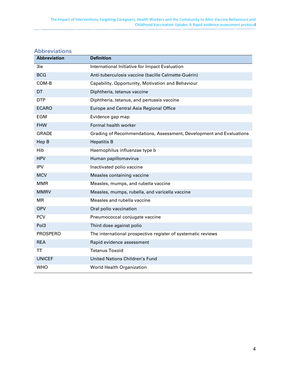| <b>Abbreviation</b> | <b>Definition</b>                                                   |
|---------------------|---------------------------------------------------------------------|
| 3ie                 | International Initiative for Impact Evaluation                      |
| <b>BCG</b>          | Anti-tuberculosis vaccine (bacille Calmette-Guérin)                 |
| COM-B               | Capability, Opportunity, Motivation and Behaviour                   |
| DT                  | Diphtheria, tetanus vaccine                                         |
| <b>DTP</b>          | Diphtheria, tetanus, and pertussis vaccine                          |
| <b>ECARO</b>        | <b>Europe and Central Asia Regional Office</b>                      |
| <b>EGM</b>          | Evidence gap map                                                    |
| <b>FHW</b>          | Formal health worker                                                |
| <b>GRADE</b>        | Grading of Recommendations, Assessment, Development and Evaluations |
| Hep B               | <b>Hepatitis B</b>                                                  |
| Hib                 | Haemophilus influenzae type b                                       |
| <b>HPV</b>          | Human papillomavirus                                                |
| <b>IPV</b>          | Inactivated polio vaccine                                           |
| <b>MCV</b>          | Measles containing vaccine                                          |
| <b>MMR</b>          | Measles, mumps, and rubella vaccine                                 |
| <b>MMRV</b>         | Measles, mumps, rubella, and varicella vaccine                      |
| MR                  | Measles and rubella vaccine                                         |
| <b>OPV</b>          | Oral polio vaccination                                              |
| <b>PCV</b>          | Pneumococcal conjugate vaccine                                      |
| Pol <sub>3</sub>    | Third dose against polio                                            |
| <b>PROSPERO</b>     | The international prospective register of systematic reviews        |
| <b>REA</b>          | Rapid evidence assessment                                           |
| TT                  | <b>Tetanus Toxoid</b>                                               |
| <b>UNICEF</b>       | <b>United Nations Children's Fund</b>                               |
| <b>WHO</b>          | <b>World Health Organization</b>                                    |

# <span id="page-4-0"></span>Abbreviations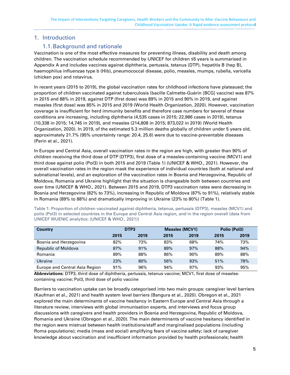## <span id="page-5-1"></span><span id="page-5-0"></span>1. Introduction

#### 1.1.Background and rationale

Vaccination is one of the most effective measures for preventing illness, disability and death among children. The vaccination schedule recommended by UNICEF for children ≤5 years is summarised in [Appendix A](#page-28-0) and includes vaccines against diphtheria, pertussis, tetanus (DTP), hepatitis B (hep B), haemophilus influenzae type b (Hib), pneumococcal disease, polio, measles, mumps, rubella, varicella (chicken pox) and rotavirus.

In recent years (2015 to 2019), the global vaccination rates for childhood infections have plateaued; the proportion of children vaccinated against tuberculosis (bacille Calmette-Guérin [BCG] vaccine) was 87% in 2015 and 88% in 2019, against DTP (first dose) was 89% in 2015 and 90% in 2019, and against measles (first dose) was 85% in 2015 and 2019 (World Health Organization, 2020). However, vaccination coverage is insufficient for herd immunity benefits and therefore case numbers for several of these conditions are increasing, including diphtheria (4,535 cases in 2015; 22,986 cases in 2019), tetanus (10,338 in 2015; 14,745 in 2019), and measles (214,808 in 2015; 873,022 in 2019) (World Health Organization, 2020). In 2019, of the estimated 5.3 million deaths globally of children under 5 years old, approximately 21.7% (95% uncertainty range: 20.4, 25.6) were due to vaccine-preventable diseases (Perin et al., 2021).

In Europe and Central Asia, overall vaccination rates in the region are high, with greater than 90% of children receiving the third dose of DTP (DTP3), first dose of a measles-containing vaccine (MCV1) and third dose against polio (Pol3) in both 2015 and 2019 [\(Table 1\)](#page-5-2) (UNICEF & WHO., 2021). However, the overall vaccination rates in the region mask the experience of individual countries (both at national and subnational levels), and an exploration of the vaccination rates in Bosnia and Herzegovina, Republic of Moldova, Romania and Ukraine highlight that the situation is changeable both between countries and over time (UNICEF & WHO., 2021). Between 2015 and 2019, DTP3 vaccination rates were decreasing in Bosnia and Herzegovina (82% to 73%), increasing in Republic of Moldova (87% to 91%), relatively stable in Romania (89% to 88%) and dramatically improving in Ukraine (23% to 80%) [\(Table 1\)](#page-5-2).

| <b>Country</b>                 |      | DTP <sub>3</sub> |      | <b>Measles (MCV1)</b> |      | Polio (Pol3) |
|--------------------------------|------|------------------|------|-----------------------|------|--------------|
|                                | 2015 | 2019             | 2015 | 2019                  | 2015 | 2019         |
| Bosnia and Herzegovina         | 82%  | 73%              | 83%  | 68%                   | 74%  | 73%          |
| Republic of Moldova            | 87%  | 91%              | 89%  | 97%                   | 88%  | 94%          |
| Romania                        | 89%  | 88%              | 86%  | 90%                   | 89%  | 88%          |
| Ukraine                        | 23%  | 80%              | 56%  | 93%                   | 51%  | 78%          |
| Europe and Central Asia Region | 91%  | 96%              | 94%  | 97%                   | 93%  | 95%          |

<span id="page-5-2"></span>Table 1: Proportion of children vaccinated against diphtheria, tetanus, pertussis (DTP3), measles (MCV1) and polio (Pol3) in selected countries in the Europe and Central Asia region, and in the region overall (data from UNICEF WUENIC analytics: (UNICEF & WHO., 2021))

**Abbreviations:** DTP3, third dose of diphtheria, pertussis, tetanus vaccine; MCV1, first dose of measlescontaining vaccine; Pol3, third dose of polio vaccine

Barriers to vaccination uptake can be broadly categorised into two main groups: caregiver level barriers (Kaufman et al., 2021) and health system level barriers (Bangura et al., 2020). Obregon et al., 2021 explored the main determinants of vaccine hesitancy in Eastern Europe and Central Asia through a literature review, interviews with global immunisation experts, and interviews and focus group discussions with caregivers and health providers in Bosnia and Herzegovina, Republic of Moldova, Romania and Ukraine (Obregon et al., 2020). The main determinants of vaccine hesitancy identified in the region were mistrust between health institutions/staff and marginalised populations (including Roma populations); media (mass and social) amplifying fears of vaccine safety; lack of caregiver knowledge about vaccination and insufficient information provided by health professionals; health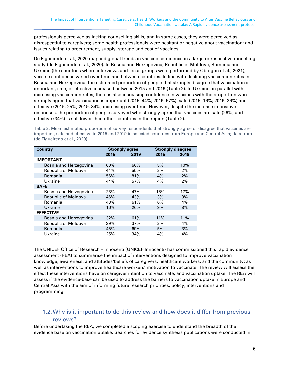professionals perceived as lacking counselling skills, and in some cases, they were perceived as disrespectful to caregivers; some health professionals were hesitant or negative about vaccination; and issues relating to procurement, supply, storage and cost of vaccines.

De Figueiredo et al., 2020 mapped global trends in vaccine confidence in a large retrospective modelling study (de Figueiredo et al., 2020). In Bosnia and Herzegovina, Republic of Moldova, Romania and Ukraine (the countries where interviews and focus groups were performed by Obregon et al., 2021), vaccine confidence varied over time and between countries. In line with declining vaccination rates in Bosnia and Herzegovina, the estimated proportion of people that strongly disagree that vaccination is important, safe, or effective increased between 2015 and 2019 [\(Table 2\)](#page-6-1). In Ukraine, in parallel with increasing vaccination rates, there is also increasing confidence in vaccines with the proportion who strongly agree that vaccination is important (2015: 44%; 2019: 57%), safe (2015: 16%; 2019: 26%) and effective (2015: 25%; 2019: 34%) increasing over time. However, despite the increase in positive responses, the proportion of people surveyed who strongly agree that vaccines are safe (26%) and effective (34%) is still lower than other countries in the region [\(Table 2\)](#page-6-1).

<span id="page-6-1"></span>Table 2: Mean estimated proportion of survey respondents that strongly agree or disagree that vaccines are important, safe and effective in 2015 and 2019 in selected countries from Europe and Central Asia; data from (de Figueiredo et al., 2020)

| <b>Country</b>             | <b>Strongly agree</b> |      | <b>Strongly disagree</b> |      |
|----------------------------|-----------------------|------|--------------------------|------|
|                            | 2015                  | 2019 | 2015                     | 2019 |
| <b>IMPORTANT</b>           |                       |      |                          |      |
| Bosnia and Herzegovina     | 60%                   | 66%  | 5%                       | 10%  |
| Republic of Moldova        | 44%                   | 55%  | 2%                       | 2%   |
| Romania                    | 56%                   | 81%  | 4%                       | 2%   |
| Ukraine                    | 44%                   | 57%  | 4%                       | 2%   |
| <b>SAFE</b>                |                       |      |                          |      |
| Bosnia and Herzegovina     | 23%                   | 47%  | 16%                      | 17%  |
| <b>Republic of Moldova</b> | 46%                   | 43%  | 3%                       | 3%   |
| Romania                    | 43%                   | 61%  | 6%                       | 4%   |
| Ukraine                    | 16%                   | 26%  | 9%                       | 8%   |
| <b>EFFECTIVE</b>           |                       |      |                          |      |
| Bosnia and Herzegovina     | 32%                   | 61%  | 11%                      | 11%  |
| Republic of Moldova        | 39%                   | 37%  | 2%                       | 4%   |
| Romania                    | 45%                   | 69%  | 5%                       | 3%   |
| Ukraine                    | 25%                   | 34%  | 4%                       | 4%   |

The UNICEF Office of Research – Innocenti (UNICEF Innocenti) has commissioned this rapid evidence assessment (REA) to summarise the impact of interventions designed to improve vaccination knowledge, awareness, and attitudes/beliefs of caregivers, healthcare workers, and the community; as well as interventions to improve healthcare workers' motivation to vaccinate. The review will assess the effect these interventions have on caregiver intention to vaccinate, and vaccination uptake. The REA will assess if the evidence-base can be used to address the barriers to vaccination uptake in Europe and Central Asia with the aim of informing future research priorities, policy, interventions and programming.

## <span id="page-6-0"></span>1.2.Why is it important to do this review and how does it differ from previous reviews?

Before undertaking the REA, we completed a scoping exercise to understand the breadth of the evidence base on vaccination uptake. Searches for evidence synthesis publications were conducted in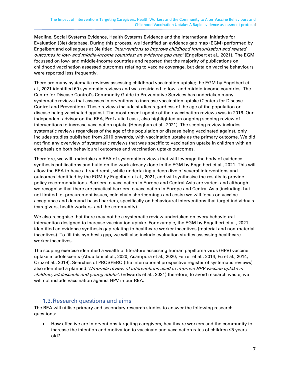Medline, Social Systems Evidence, Health Systems Evidence and the International Initiative for Evaluation (3ie) database. During this process, we identified an evidence gap map (EGM) performed by Engelbert and colleagues at 3ie titled 'Interventions to improve childhood immunisation and related outcomes in low- and middle-income countries: an evidence gap map' (Engelbert et al., 2021). The EGM focussed on low- and middle-income countries and reported that the majority of publications on childhood vaccination assessed outcomes relating to vaccine coverage, but data on vaccine behaviours were reported less frequently.

There are many systematic reviews assessing childhood vaccination uptake; the EGM by Engelbert et al., 2021 identified 60 systematic reviews and was restricted to low- and middle-income countries. The Centre for Disease Control's Community Guide to Preventative Services has undertaken many systematic reviews that assesses interventions to increase vaccination uptake (Centers for Disease Control and Prevention). These reviews include studies regardless of the age of the population or disease being vaccinated against. The most recent update of their vaccination reviews was in 2016. Our independent advisor on the REA, Prof Julie Leask, also highlighted an ongoing scoping review of interventions to increase vaccination uptake (Heneghan et al., 2021). The scoping review includes systematic reviews regardless of the age of the population or disease being vaccinated against, only includes studies published from 2010 onwards, with vaccination uptake as the primary outcome. We did not find any overview of systematic reviews that was specific to vaccination uptake in children with an emphasis on both behavioural outcomes and vaccination uptake outcomes.

Therefore, we will undertake an REA of systematic reviews that will leverage the body of evidence synthesis publications and build on the work already done in the EGM by Engelbert et al., 2021. This will allow the REA to have a broad remit, while undertaking a deep dive of several interventions and outcomes identified by the EGM by Engelbert et al., 2021, and will synthesise the results to provide policy recommendations. Barriers to vaccination in Europe and Central Asia are varied, and although we recognise that there are practical barriers to vaccination in Europe and Central Asia (including, but not limited to, procurement issues, cold chain shortcomings and costs) we will focus on vaccine acceptance and demand-based barriers, specifically on behavioural interventions that target individuals (caregivers, health workers, and the community).

We also recognise that there may not be a systematic review undertaken on every behavioural intervention designed to increase vaccination uptake. For example, the EGM by Engelbert et al., 2021 identified an evidence synthesis gap relating to healthcare worker incentives (material and non-material incentives). To fill this synthesis gap, we will also include evaluation studies assessing healthcare worker incentives.

The scoping exercise identified a wealth of literature assessing human papilloma virus (HPV) vaccine uptake in adolescents (Abdullahi et al., 2020; Acampora et al., 2020; Ferrer et al., 2014; Fu et al., 2014; Ortiz et al., 2019). Searches of PROSPERO (the international prospective register of systematic reviews) also identified a planned 'Umbrella review of interventions used to improve HPV vaccine uptake in children, adolescents and young adults', (Edwards et al., 2021) therefore, to avoid research waste, we will not include vaccination against HPV in our REA.

## 1.3.Research questions and aims

<span id="page-7-0"></span>The REA will utilise primary and secondary research studies to answer the following research questions:

• How effective are interventions targeting caregivers, healthcare workers and the community to increase the intention and motivation to vaccinate and vaccination rates of children ≤5 years old?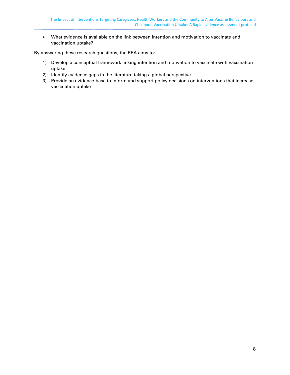• What evidence is available on the link between intention and motivation to vaccinate and vaccination uptake?

By answering these research questions, the REA aims to:

- 1) Develop a conceptual framework linking intention and motivation to vaccinate with vaccination uptake
- 2) Identify evidence gaps in the literature taking a global perspective
- 3) Provide an evidence-base to inform and support policy decisions on interventions that increase vaccination uptake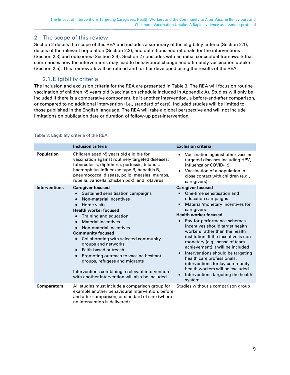## <span id="page-9-0"></span>2. The scope of this review

Section [2](#page-9-0) details the scope of this REA and includes a summary of the eligibility criteria (Section [2.1\)](#page-9-1), details of the relevant population (Section [2.2\)](#page-10-0), and definitions and rationale for the interventions (Section [2.3\)](#page-10-1) and outcomes (Section [2.4\)](#page-12-1). Section [2](#page-9-0) concludes with an initial conceptual framework that summarises how the interventions may lead to behavioural change and ultimately vaccination uptake (Section [2.5\)](#page-20-0). This framework will be refined and further developed using the results of the REA.

## 2.1.Eligibility criteria

<span id="page-9-1"></span>The inclusion and exclusion criteria for the REA are presented in [Table 3.](#page-9-2) The REA will focus on routine vaccination of children ≤5 years old (vaccination schedule included in [Appendix A\)](#page-28-0). Studies will only be included if there is a comparative component, be it another intervention, a before-and-after comparison, or compared to no additional intervention (i.e., standard of care). Included studies will be limited to those published in the English language. The REA will take a global perspective and will not include limitations on publication date or duration of follow-up post-intervention.

|                      | <b>Inclusion criteria</b>                                                                                                                                                                                                                                                                                                                                                                                                                                                                                                                                                                                                  | <b>Exclusion criteria</b>                                                                                                                                                                                                                                                                                                                                                                                                                                                                                                                                                                |
|----------------------|----------------------------------------------------------------------------------------------------------------------------------------------------------------------------------------------------------------------------------------------------------------------------------------------------------------------------------------------------------------------------------------------------------------------------------------------------------------------------------------------------------------------------------------------------------------------------------------------------------------------------|------------------------------------------------------------------------------------------------------------------------------------------------------------------------------------------------------------------------------------------------------------------------------------------------------------------------------------------------------------------------------------------------------------------------------------------------------------------------------------------------------------------------------------------------------------------------------------------|
| <b>Population</b>    | Children aged ≤5 years old eligible for<br>vaccination against routinely targeted diseases:<br>tuberculosis, diphtheria, pertussis, tetanus,<br>haemophilus influenzae type B, hepatitis B,<br>pneumococcal disease, polio, measles, mumps,<br>rubella, varicella (chicken pox), and rotavirus                                                                                                                                                                                                                                                                                                                             | Vaccination against other vaccine<br>targeted diseases including HPV,<br>influenza or COVID-19.<br>Vaccination of a population in<br>close contact with children (e.g.,<br>caregivers)                                                                                                                                                                                                                                                                                                                                                                                                   |
| <b>Interventions</b> | <b>Caregiver focused</b><br>Sustained sensitisation campaigns<br>Non-material incentives<br>$\bullet$<br>Home visits<br>$\bullet$<br><b>Health worker focused</b><br>Training and education<br>$\bullet$<br><b>Material incentives</b><br>$\bullet$<br>Non-material incentives<br><b>Community focused</b><br>Collaborating with selected community<br>$\bullet$<br>groups and networks<br>Faith-based outreach<br>$\bullet$<br>Promoting outreach to vaccine-hesitant<br>$\bullet$<br>groups, refugees and migrants<br>Interventions combining a relevant intervention<br>with another intervention will also be included | <b>Caregiver focused</b><br>One-time sensitisation and<br>education campaigns<br>Material/monetary incentives for<br>caregivers<br><b>Health worker focused</b><br>Pay-for-performance schemes-<br>incentives should target health<br>workers rather than the health<br>institution. If the incentive is non-<br>monetary (e.g., sense of team<br>achievement) it will be included<br>Interventions should be targeting<br>$\bullet$<br>health care professionals,<br>interventions for lay community<br>health workers will be excluded<br>Interventions targeting the health<br>system |
| <b>Comparators</b>   | All studies must include a comparison group for<br>example another behavioural intervention, before<br>and after comparison, or standard of care (where<br>no intervention is delivered)                                                                                                                                                                                                                                                                                                                                                                                                                                   | Studies without a comparison group                                                                                                                                                                                                                                                                                                                                                                                                                                                                                                                                                       |

#### <span id="page-9-2"></span>Table 3: Eligibility criteria of the REA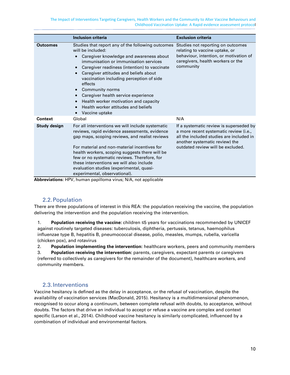|                     | Inclusion criteria                                                                                                                                                                                                                                                                                                                                                                                                                                                     | <b>Exclusion criteria</b>                                                                                                                                                                            |
|---------------------|------------------------------------------------------------------------------------------------------------------------------------------------------------------------------------------------------------------------------------------------------------------------------------------------------------------------------------------------------------------------------------------------------------------------------------------------------------------------|------------------------------------------------------------------------------------------------------------------------------------------------------------------------------------------------------|
| <b>Outcomes</b>     | Studies that report any of the following outcomes<br>will be included:<br>Caregiver knowledge and awareness about<br>immunisation or immunisation services<br>Caregiver readiness (intention) to vaccinate<br>Caregiver attitudes and beliefs about<br>vaccination including perception of side<br>effects<br>Community norms<br>Caregiver health service experience<br>Health worker motivation and capacity<br>Health worker attitudes and beliefs<br>Vaccine uptake | Studies not reporting on outcomes<br>relating to vaccine uptake, or<br>behaviour, intention, or motivation of<br>caregivers, health workers or the<br>community                                      |
| <b>Context</b>      | Global                                                                                                                                                                                                                                                                                                                                                                                                                                                                 | N/A                                                                                                                                                                                                  |
| <b>Study design</b> | For all interventions we will include systematic<br>reviews, rapid evidence assessments, evidence<br>gap maps, scoping reviews, and realist reviews<br>For material and non-material incentives for<br>health workers, scoping suggests there will be<br>few or no systematic reviews. Therefore, for<br>these interventions we will also include<br>evaluation studies (experimental, quasi-<br>experimental, observational).                                         | If a systematic review is superseded by<br>a more recent systematic review (i.e.,<br>all the included studies are included in<br>another systematic review) the<br>outdated review will be excluded. |

**Abbreviations:** HPV, human papilloma virus; N/A, not applicable

## 2.2.Population

<span id="page-10-0"></span>There are three populations of interest in this REA: the population receiving the vaccine, the population delivering the intervention and the population receiving the intervention.

1. **Population receiving the vaccine:** children ≤5 years for vaccinations recommended by UNICEF against routinely targeted diseases: tuberculosis, diphtheria, pertussis, tetanus, haemophilus influenzae type B, hepatitis B, pneumococcal disease, polio, measles, mumps, rubella, varicella (chicken pox), and rotavirus

2. **Population implementing the intervention:** healthcare workers, peers and community members

3. **Population receiving the intervention:** parents, caregivers, expectant parents or caregivers (referred to collectively as caregivers for the remainder of the document), healthcare workers, and community members.

#### 2.3.Interventions

<span id="page-10-1"></span>Vaccine hesitancy is defined as the delay in acceptance, or the refusal of vaccination, despite the availability of vaccination services (MacDonald, 2015). Hesitancy is a multidimensional phenomenon, recognised to occur along a continuum, between complete refusal with doubts, to acceptance, without doubts. The factors that drive an individual to accept or refuse a vaccine are complex and context specific (Larson et al., 2014). Childhood vaccine hesitancy is similarly complicated, influenced by a combination of individual and environmental factors.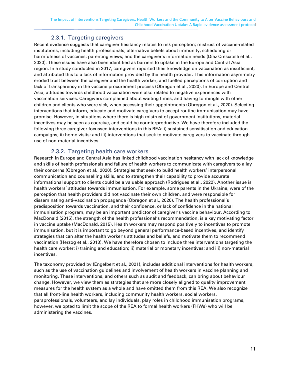# 2.3.1. Targeting caregivers

<span id="page-11-0"></span>Recent evidence suggests that caregiver hesitancy relates to risk perception; mistrust of vaccine-related institutions, including health professionals; alternative beliefs about immunity, scheduling or [harmfulness](https://www.sciencedirect.com/topics/social-sciences/toxicology) of vaccines; parenting views; and the caregiver's information needs (Díaz Crescitelli et al., 2020). These issues have also been identified as barriers to uptake in the Europe and Central Asia region. In a study conducted in 2017, caregivers reported their knowledge on vaccination as insufficient, and attributed this to a lack of information provided by the health provider. This information asymmetry eroded trust between the caregiver and the health worker, and fuelled perceptions of corruption and lack of transparency in the vaccine procurement process (Obregon et al., 2020). In Europe and Central Asia, attitudes towards childhood vaccination were also related to negative experiences with vaccination services. Caregivers complained about waiting times, and having to mingle with other children and clients who were sick, when accessing their appointments (Obregon et al., 2020). Selecting interventions that inform, educate and motivate caregivers to accept routine immunisation may have promise. However, in situations where there is high mistrust of government institutions, material incentives may be seen as coercive, and could be counterproductive. We have therefore included the following three caregiver focussed interventions in this REA: i) sustained sensitisation and education campaigns; ii) home visits; and iii) interventions that seek to motivate caregivers to vaccinate through use of non-material incentives.

## 2.3.2. Targeting health care workers

<span id="page-11-1"></span>Research in Europe and Central Asia has linked childhood vaccination hesitancy with lack of knowledge and skills of health professionals and failure of health workers to communicate with caregivers to allay their concerns (Obregon et al., 2020). Strategies that seek to build health workers' interpersonal communication and counselling skills, and to strengthen their capability to provide accurate informational support to clients could be a valuable approach (Rodrigues et al., 2022). Another issue is health workers' attitudes towards immunisation. For example, some parents in the Ukraine, were of the perception that health providers did not vaccinate their own children, and were responsible for disseminating anti-vaccination propaganda (Obregon et al., 2020). The health professional's predisposition towards vaccination, and their confidence, or lack of confidence in the national immunisation program, may be an important predictor of caregiver's vaccine behaviour. According to MacDonald (2015), the strength of the health professional's recommendation, is a key motivating factor in vaccine uptake (MacDonald, 2015). Health workers may respond positively to incentives to promote immunisation, but it is important to go beyond general performance-based incentives, and identify strategies that can alter the health worker's attitudes and beliefs, and motivate them to recommend vaccination (Herzog et al., 2013). We have therefore chosen to include three interventions targeting the health care worker: i) training and education; ii) material or monetary incentives; and iii) non-material incentives.

The taxonomy provided by (Engelbert et al., 2021), includes additional interventions for health workers, such as the use of vaccination guidelines and involvement of health workers in vaccine planning and monitoring. These interventions, and others such as audit and feedback, can bring about behaviour change. However, we view them as strategies that are more closely aligned to quality improvement measures for the health system as a whole and have omitted them from this REA. We also recognize that all front-line health workers, including community health workers, social workers, paraprofessionals, volunteers, and lay individuals, play roles in childhood immunisation programs, however, we opted to limit the scope of the REA to formal health workers (FHWs) who will be administering the vaccines.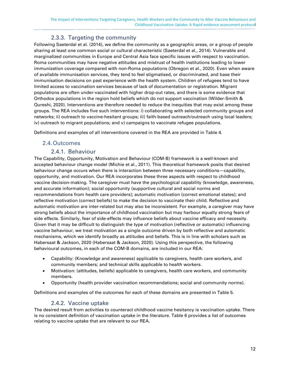# 2.3.3. Targeting the community

<span id="page-12-0"></span>Following Saeterdal et al. (2014), we define the community as a geographic areas, or a group of people sharing at least one common social or cultural characteristic (Saeterdal et al., 2014). Vulnerable and marginalized communities in Europe and Central Asia face specific issues with respect to vaccination. Roma communities may have negative attitudes and mistrust of health institutions leading to lower immunization coverage compared with non-Roma populations (Obregon et al., 2020). Even when aware of available immunisation services, they tend to feel stigmatised, or discriminated, and base their immunisation decisions on past experience with the health system. Children of refugees tend to have limited access to vaccination services because of lack of documentation or registration. Migrant populations are often under-vaccinated with higher drop-out rates, and there is some evidence that Orthodox populations in the region hold beliefs which do not support vaccination (Wilder-Smith & Qureshi, 2020). Interventions are therefore needed to reduce the inequities that may exist among these groups. The REA includes five such interventions: i) collaborating with selected community groups and networks; ii) outreach to vaccine-hesitant groups; iii) faith-based outreach/outreach using local leaders; iv) outreach to migrant populations; and v) campaigns to vaccinate refugee populations.

Definitions and examples of all interventions covered in the REA are provided in [Table 4.](#page-13-0)

#### <span id="page-12-1"></span>2.4.Outcomes

#### 2.4.1. Behaviour

<span id="page-12-2"></span>The Capability, Opportunity, Motivation and Behaviour (COM-B) framework is a well-known and accepted behaviour change model (Michie et al., 2011). This theoretical framework posits that desired behaviour change occurs when there is interaction between three necessary conditions—capability, opportunity, and motivation. Our REA incorporates these three aspects with respect to childhood vaccine decision-making. The caregiver must have the psychological capability (knowledge, awareness, and accurate information); social opportunity (supportive cultural and social norms and recommendations from health care providers); automatic motivation (correct emotional states); and reflective motivation (correct beliefs) to make the decision to vaccinate their child. Reflective and automatic motivation are inter-related but may also be inconsistent. For example, a caregiver may have strong beliefs about the importance of childhood vaccination but may harbour equally strong fears of side effects. Similarly, fear of side-effects may influence beliefs about vaccine efficacy and necessity. Given that it may be difficult to distinguish the type of motivation (reflective or automatic) influencing vaccine behaviour, we treat motivation as a single outcome driven by both reflective and automatic mechanisms, which we identify broadly as attitudes and beliefs. This is in line with scholars such as Habersaat & Jackson, 2020 (Habersaat & Jackson, 2020). Using this perspective, the following behavioural outcomes, in each of the COM-B domains, are included in our REA:

- Capability: (Knowledge and awareness) applicable to caregivers, health care workers, and community members; and technical skills applicable to health workers.
- Motivation: (attitudes, beliefs) applicable to caregivers, health care workers, and community members.
- Opportunity (health provider vaccination recommendations; social and community norms).

Definitions and examples of the outcomes for each of these domains are presented in [Table 5.](#page-16-0)

#### 2.4.2. Vaccine uptake

<span id="page-12-3"></span>The desired result from activities to counteract childhood vaccine hesitancy is vaccination uptake. There is no consistent definition of vaccination uptake in the literature. [Table 6](#page-18-0) provides a list of outcomes relating to vaccine uptake that are relevant to our REA.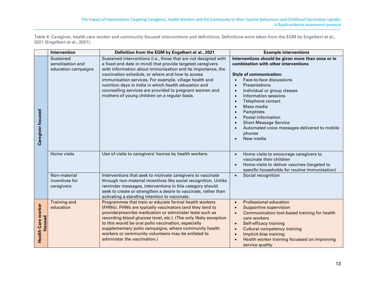Table 4: Caregiver, health care worker and community focused interventions and definitions. Definitions were taken from the EGM by Engelbert et al., 2021 (Engelbert et al., 2021).

<span id="page-13-0"></span>

|                                      | Intervention                                          | Definition from the EGM by Engelbert et al., 2021                                                                                                                                                                                                                                                                                                                                                                                                                               | <b>Example interventions</b>                                                                                                                                                                                                                                                                                                                                                                                                                                             |
|--------------------------------------|-------------------------------------------------------|---------------------------------------------------------------------------------------------------------------------------------------------------------------------------------------------------------------------------------------------------------------------------------------------------------------------------------------------------------------------------------------------------------------------------------------------------------------------------------|--------------------------------------------------------------------------------------------------------------------------------------------------------------------------------------------------------------------------------------------------------------------------------------------------------------------------------------------------------------------------------------------------------------------------------------------------------------------------|
| Caregiver focused                    | Sustained<br>sensitisation and<br>education campaigns | Sustained interventions (i.e., those that are not designed with<br>a fixed end date in mind) that provide targeted caregivers<br>with information about immunisation and its importance, the<br>vaccination schedule, or where and how to access<br>immunisation services. For example, village health and<br>nutrition days in India in which health education and<br>counselling services are provided to pregnant women and<br>mothers of young children on a regular basis. | Interventions should be given more than once or in<br>combination with other interventions<br><b>Style of communication:</b><br>Face-to-face discussions<br><b>Presentations</b><br>Individual or group classes<br>$\bullet$<br>Information sessions<br>$\bullet$<br>Telephone contact<br>$\bullet$<br>Mass media<br>$\bullet$<br>Pamphlets<br>Postal information<br><b>Short Message Service</b><br>Automated voice messages delivered to mobile<br>phones<br>New media |
|                                      | Home visits                                           | Use of visits to caregivers' homes by health workers.                                                                                                                                                                                                                                                                                                                                                                                                                           | Home visits to encourage caregivers to<br>$\bullet$<br>vaccinate their children<br>Home visits to deliver vaccines (targeted to<br>specific households for routine immunisation)                                                                                                                                                                                                                                                                                         |
|                                      | Non-material<br>incentives for<br>caregivers          | Interventions that seek to motivate caregivers to vaccinate<br>through non-material incentives like social recognition. Unlike<br>reminder messages, interventions in this category should<br>seek to create or strengthen a desire to vaccinate, rather than<br>activating a standing intention to vaccinate.                                                                                                                                                                  | Social recognition<br>$\bullet$                                                                                                                                                                                                                                                                                                                                                                                                                                          |
| <b>Health Care worker</b><br>focused | <b>Training and</b><br>education                      | Programmes that train or educate formal health workers<br>(FHWs). FHWs are typically vaccinators (and they tend to<br>provide/prescribe medication or administer tests such as<br>recording blood glucose level, etc.). (The only likely exception<br>to this would be oral polio vaccination, especially<br>supplementary polio campaigns, where community health<br>workers or community volunteers may be enlisted to<br>administer the vaccination.)                        | <b>Professional education</b><br>$\bullet$<br><b>Supportive supervision</b><br>$\bullet$<br>Communication tool-based training for health<br>$\bullet$<br>care workers<br>Self-efficacy training<br>$\bullet$<br><b>Cultural competency training</b><br>$\bullet$<br>Implicit-bias training<br>$\bullet$<br>Health worker training focussed on improving<br>service quality                                                                                               |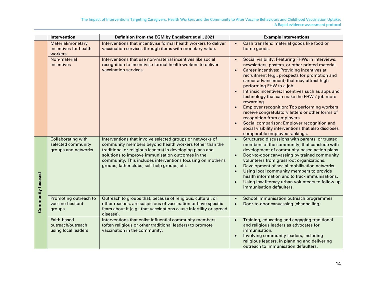|                   | Intervention                                                    | Definition from the EGM by Engelbert et al., 2021                                                                                                                                                                                                                                                                                                     | <b>Example interventions</b>                                                                                                                                                                                                                                                                                                                                                                                                                                                                                                                                                                                                                                                                                |
|-------------------|-----------------------------------------------------------------|-------------------------------------------------------------------------------------------------------------------------------------------------------------------------------------------------------------------------------------------------------------------------------------------------------------------------------------------------------|-------------------------------------------------------------------------------------------------------------------------------------------------------------------------------------------------------------------------------------------------------------------------------------------------------------------------------------------------------------------------------------------------------------------------------------------------------------------------------------------------------------------------------------------------------------------------------------------------------------------------------------------------------------------------------------------------------------|
|                   | Material/monetary<br>incentives for health<br>workers           | Interventions that incentivise formal health workers to deliver<br>vaccination services through items with monetary value.                                                                                                                                                                                                                            | Cash transfers; material goods like food or<br>$\bullet$<br>home goods.                                                                                                                                                                                                                                                                                                                                                                                                                                                                                                                                                                                                                                     |
|                   | Non-material<br>incentives                                      | Interventions that use non-material incentives like social<br>recognition to incentivise formal health workers to deliver<br>vaccination services.                                                                                                                                                                                                    | Social visibility: Featuring FHWs in interviews,<br>$\bullet$<br>newsletters, posters, or other printed material.<br>Career incentives: Providing incentives at<br>$\bullet$<br>recruitment (e.g., prospects for promotion and<br>career advancement) that may attract high-<br>performing FHW to a job.<br>Intrinsic incentives: Incentives such as apps and<br>technology that can make the FHWs' job more<br>rewarding.<br><b>Employer recognition: Top performing workers</b><br>receive congratulatory letters or other forms of<br>recognition from employers.<br>Social comparison: Employer recognition and<br>social visibility interventions that also discloses<br>comparable employee rankings. |
| Community focused | Collaborating with<br>selected community<br>groups and networks | Interventions that involve selected groups or networks of<br>community members beyond health workers (other than the<br>traditional or religious leaders) in developing plans and<br>solutions to improve immunisation outcomes in the<br>community. This includes interventions focusing on mother's<br>groups, father clubs, self-help groups, etc. | Structured discussions with parents, or trusted<br>$\bullet$<br>members of the community, that conclude with<br>development of community-based action plans.<br>Door-to-door canvassing by trained community<br>$\bullet$<br>volunteers from grassroot organizations.<br>Development of social mobilisation networks.<br>$\bullet$<br>Using local community members to provide<br>$\bullet$<br>health information and to track immunisations.<br>Using low-literacy urban volunteers to follow up<br>$\bullet$<br>immunisation defaulters.                                                                                                                                                                  |
|                   | Promoting outreach to<br>vaccine-hesitant<br>groups             | Outreach to groups that, because of religious, cultural, or<br>other reasons, are suspicious of vaccination or have specific<br>fears about it (e.g., that vaccinations cause infertility or spread<br>disease).                                                                                                                                      | School immunisation outreach programmes<br>$\bullet$<br>Door-to-door canvassing (channelling)                                                                                                                                                                                                                                                                                                                                                                                                                                                                                                                                                                                                               |
|                   | Faith-based<br>outreach/outreach<br>using local leaders         | Interventions that enlist influential community members<br>(often religious or other traditional leaders) to promote<br>vaccination in the community.                                                                                                                                                                                                 | Training, educating and engaging traditional<br>$\bullet$<br>and religious leaders as advocates for<br>immunisation.<br>Involving community leaders, including<br>religious leaders, in planning and delivering<br>outreach to immunisation defaulters.                                                                                                                                                                                                                                                                                                                                                                                                                                                     |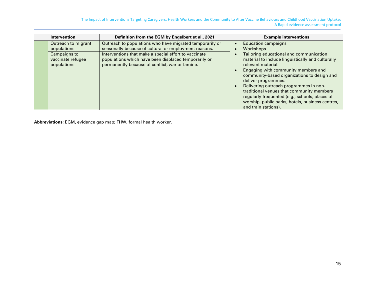The Impact of Interventions Targeting Caregivers, Health Workers and the Community to Alter Vaccine Behaviours and Childhood Vaccination Uptake: A Rapid evidence assessment protocol

| Intervention                                                                           | Definition from the EGM by Engelbert et al., 2021                                                                                                                                                                                                                                     | <b>Example interventions</b>                                                                                                                                                                                                                                                                                                                                                                                                                                                                    |
|----------------------------------------------------------------------------------------|---------------------------------------------------------------------------------------------------------------------------------------------------------------------------------------------------------------------------------------------------------------------------------------|-------------------------------------------------------------------------------------------------------------------------------------------------------------------------------------------------------------------------------------------------------------------------------------------------------------------------------------------------------------------------------------------------------------------------------------------------------------------------------------------------|
| Outreach to migrant<br>populations<br>Campaigns to<br>vaccinate refugee<br>populations | Outreach to populations who have migrated temporarily or<br>seasonally because of cultural or employment reasons.<br>Interventions that make a special effort to vaccinate<br>populations which have been displaced temporarily or<br>permanently because of conflict, war or famine. | <b>Education campaigns</b><br>Workshops<br>Tailoring educational and communication<br>material to include linguistically and culturally<br>relevant material.<br>Engaging with community members and<br>community-based organizations to design and<br>deliver programmes.<br>Delivering outreach programmes in non-<br>traditional venues that community members<br>regularly frequented (e.g., schools, places of<br>worship, public parks, hotels, business centres,<br>and train stations). |

**Abbreviations:** EGM, evidence gap map; FHW, formal health worker.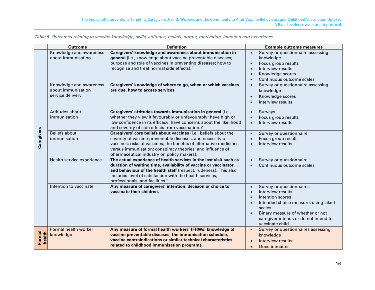<span id="page-16-0"></span>

|                  | <b>Outcome</b>                                                           | <b>Definition</b>                                                                                                                                                                                                                                                                                                | <b>Example outcome measures</b>                                                                                                                                                                                                                 |
|------------------|--------------------------------------------------------------------------|------------------------------------------------------------------------------------------------------------------------------------------------------------------------------------------------------------------------------------------------------------------------------------------------------------------|-------------------------------------------------------------------------------------------------------------------------------------------------------------------------------------------------------------------------------------------------|
|                  | Knowledge and awareness<br>about immunisation<br>Knowledge and awareness | Caregivers' knowledge and awareness about immunisation in<br>general (i.e., knowledge about vaccine preventable diseases;<br>purpose and role of vaccines in preventing diseases; how to<br>recognise and treat normal side effects).*<br>Caregivers' knowledge of where to go, when or which vaccines           | Survey or questionnaire assessing<br>$\bullet$<br>knowledge<br>Focus group results<br>$\bullet$<br>Interview results<br>Knowledge scores<br>Continuous outcome scales<br>$\bullet$<br>Survey or questionnaire assessing<br>$\bullet$            |
| Caregivers       | about immunisation<br>service delivery                                   | are due, how to access services.                                                                                                                                                                                                                                                                                 | knowledge<br>Knowledge scores<br>$\bullet$<br>Interview results                                                                                                                                                                                 |
|                  | Attitudes about<br>immunisation                                          | Caregivers' attitudes towards immunisation in general (i.e.,<br>whether they view it favourably or unfavourably; have high or<br>low confidence in its efficacy; have concerns about the likelihood<br>and severity of side effects from vaccination.)'                                                          | Surveys<br>$\bullet$<br>Focus group results<br>Interview results<br>$\bullet$                                                                                                                                                                   |
|                  | <b>Beliefs about</b><br>immunisation                                     | Caregivers' core beliefs about vaccines (i.e., beliefs about the<br>severity of vaccine-preventable diseases, and necessity of<br>vaccines; risks of vaccines; the benefits of alternative medicines<br>versus immunisation; conspiracy theories; and influence of<br>pharmaceutical industry on policy makers). | Survey or questionnaire<br>$\bullet$<br>Focus group result<br>Interview results                                                                                                                                                                 |
|                  | Health service experience                                                | The actual experience of health services in the last visit such as<br>duration of waiting time, availability of vaccine or vaccinator,<br>and behaviour of the health staff (respect, rudeness). This also<br>includes level of satisfaction with the health services,<br>professionals, and facilities.*        | Survey or questionnaire<br>Continuous outcome scales                                                                                                                                                                                            |
|                  | Intention to vaccinate                                                   | Any measure of caregivers' intention, decision or choice to<br>vaccinate their children.                                                                                                                                                                                                                         | Survey or questionnaires<br>Interview results<br>$\bullet$<br>Intention scores<br>$\bullet$<br>Intended choice measure, using Likert<br>scales<br>Binary measure of whether or not<br>caregiver intends or do not intend to<br>vaccinate child. |
| Formal<br>health | Formal health worker<br>knowledge                                        | Any measure of formal health workers' (FHWs) knowledge of<br>vaccine preventable diseases, the immunisation schedule,<br>vaccine contraindications or similar technical characteristics<br>related to childhood immunisation programs.                                                                           | Survey or questionnaires assessing<br>$\bullet$<br>knowledge<br>Interview results<br><b>Questionnaires</b>                                                                                                                                      |

Table 5: Outcomes relating to vaccine knowledge, skills, attitudes, beliefs, norms, motivation, intention and experience.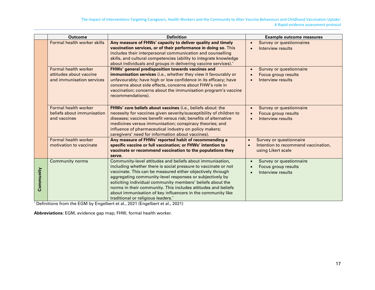|           | <b>Outcome</b>                                                               | <b>Definition</b>                                                                                                                                                                                                                                                                                                                                                                                                                                                                         | <b>Example outcome measures</b>                                                                                |
|-----------|------------------------------------------------------------------------------|-------------------------------------------------------------------------------------------------------------------------------------------------------------------------------------------------------------------------------------------------------------------------------------------------------------------------------------------------------------------------------------------------------------------------------------------------------------------------------------------|----------------------------------------------------------------------------------------------------------------|
|           | Formal health worker skills                                                  | Any measure of FHWs' capacity to deliver quality and timely<br>vaccination services, or of their performance in doing so. This<br>includes their interpersonal communication and counselling<br>skills, and cultural competencies (ability to integrate knowledge<br>about individuals and groups in delivering vaccine services).*                                                                                                                                                       | Survey or questionnaires<br>$\bullet$<br>Interview results                                                     |
|           | Formal health worker<br>attitudes about vaccine<br>and immunisation services | FHWs' general predisposition towards vaccines and<br>immunisation services (i.e., whether they view it favourably or<br>unfavourably; have high or low confidence in its efficacy; have<br>concerns about side effects, concerns about FHW's role in<br>vaccination; concerns about the immunisation program's vaccine<br>recommendations).                                                                                                                                               | Survey or questionnaire<br>$\bullet$<br>Focus group results<br>Interview results                               |
|           | Formal health worker<br>beliefs about immunisation<br>and vaccines           | FHWs' core beliefs about vaccines (i.e., beliefs about: the<br>necessity for vaccines given severity/susceptibility of children to<br>diseases; vaccines benefit versus risk; benefits of alternative<br>medicines versus immunisation; conspiracy theories; and<br>influence of pharmaceutical industry on policy makers;<br>caregivers' need for information about vaccines).                                                                                                           | Survey or questionnaire<br>$\bullet$<br>Focus group results<br>Interview results                               |
|           | <b>Formal health worker</b><br>motivation to vaccinate                       | Any measure of FHWs' reported habit of recommending a<br>specific vaccine or full vaccination; or FHWs' intention to<br>vaccinate or recommend vaccination to the populations they<br>serve.                                                                                                                                                                                                                                                                                              | Survey or questionnaire<br>$\bullet$<br>Intention to recommend vaccination,<br>$\bullet$<br>using Likert scale |
| Community | <b>Community norms</b>                                                       | Community-level attitudes and beliefs about immunisation,<br>including whether there is social pressure to vaccinate or not<br>vaccinate. This can be measured either objectively through<br>aggregating community-level responses or subjectively by<br>soliciting individual community members' beliefs about the<br>norms in their community. This includes attitudes and beliefs<br>about immunisation of key influencers in the community like<br>traditional or religious leaders.* | Survey or questionnaire<br>Focus group results<br>Interview results                                            |

\* Definitions from the EGM by Engelbert et al., 2021 (Engelbert et al., 2021)

**Abbreviations:** EGM, evidence gap map; FHW, formal health worker.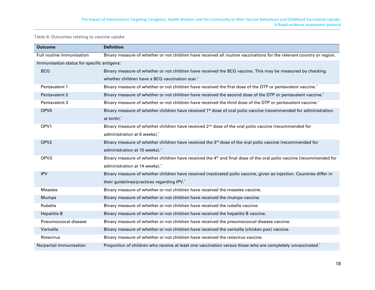#### Table 6: Outcomes relating to vaccine uptake

<span id="page-18-0"></span>

| Outcome                                    | <b>Definition</b>                                                                                                              |
|--------------------------------------------|--------------------------------------------------------------------------------------------------------------------------------|
| Full routine immunisation                  | Binary measure of whether or not children have received all routine vaccinations for the relevant country or region.           |
| Immunisation status for specific antigens: |                                                                                                                                |
| <b>BCG</b>                                 | Binary measure of whether or not children have received the BCG vaccine. This may be measured by checking                      |
|                                            | whether children have a BCG vaccination scar.*                                                                                 |
| Pentavalent 1                              | Binary measure of whether or not children have received the first dose of the DTP or pentavalent vaccine. <sup>*</sup>         |
| Pentavalent 2                              | Binary measure of whether or not children have received the second dose of the DTP or pentavalent vaccine.*                    |
| Pentavalent 3                              | Binary measure of whether or not children have received the third dose of the DTP or pentavalent vaccine.*                     |
| OPV <sub>0</sub>                           | Binary measure of whether children have received 1 <sup>st</sup> dose of oral polio vaccine (recommended for administration    |
|                                            | at birth).*                                                                                                                    |
| OPV1                                       | Binary measure of whether children have received 2 <sup>nd</sup> dose of the oral polio vaccine (recommended for               |
|                                            | administration at 6 weeks).*                                                                                                   |
| OPV <sub>2</sub>                           | Binary measure of whether children have received the 3rd dose of the oral polio vaccine (recommended for                       |
|                                            | administration at 10 weeks).*                                                                                                  |
| OPV <sub>3</sub>                           | Binary measure of whether children have received the 4 <sup>th</sup> and final dose of the oral polio vaccine (recommended for |
|                                            | administration at 14 weeks).*                                                                                                  |
| <b>IPV</b>                                 | Binary measure of whether children have received inactivated polio vaccine, given as injection. Countries differ in            |
|                                            | their guidelines/practices regarding IPV.*                                                                                     |
| <b>Measles</b>                             | Binary measure of whether or not children have received the measles vaccine.                                                   |
| <b>Mumps</b>                               | Binary measure of whether or not children have received the mumps vaccine.                                                     |
| Rubella                                    | Binary measure of whether or not children have received the rubella vaccine.                                                   |
| <b>Hepatitis B</b>                         | Binary measure of whether or not children have received the hepatitis B vaccine.                                               |
| Pneumococcal disease                       | Binary measure of whether or not children have received the pneumococcal disease vaccine.                                      |
| Varicella                                  | Binary measure of whether or not children have received the varicella (chicken pox) vaccine.                                   |
| Rotavirus                                  | Binary measure of whether or not children have received the rotavirus vaccine.                                                 |
| No/partial immunisation                    | Proportion of children who receive at least one vaccination versus those who are completely unvaccinated.*                     |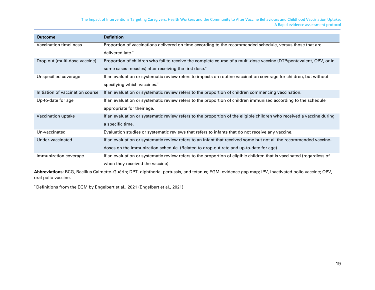The Impact of Interventions Targeting Caregivers, Health Workers and the Community to Alter Vaccine Behaviours and Childhood Vaccination Uptake: A Rapid evidence assessment protocol

| <b>Outcome</b>                   | <b>Definition</b>                                                                                                     |
|----------------------------------|-----------------------------------------------------------------------------------------------------------------------|
| Vaccination timeliness           | Proportion of vaccinations delivered on time according to the recommended schedule, versus those that are             |
|                                  | delivered late.*                                                                                                      |
| Drop out (multi-dose vaccine)    | Proportion of children who fail to receive the complete course of a multi-dose vaccine (DTP/pentavalent, OPV, or in   |
|                                  | some cases measles) after receiving the first dose.*                                                                  |
| Unspecified coverage             | If an evaluation or systematic review refers to impacts on routine vaccination coverage for children, but without     |
|                                  | specifying which vaccines.*                                                                                           |
| Initiation of vaccination course | If an evaluation or systematic review refers to the proportion of children commencing vaccination.                    |
| Up-to-date for age               | If an evaluation or systematic review refers to the proportion of children immunised according to the schedule        |
|                                  | appropriate for their age.                                                                                            |
| Vaccination uptake               | If an evaluation or systematic review refers to the proportion of the eligible children who received a vaccine during |
|                                  | a specific time.                                                                                                      |
| Un-vaccinated                    | Evaluation studies or systematic reviews that refers to infants that do not receive any vaccine.                      |
| Under-vaccinated                 | If an evaluation or systematic review refers to an infant that received some but not all the recommended vaccine-     |
|                                  | doses on the immunization schedule. (Related to drop-out rate and up-to-date for age).                                |
| Immunization coverage            | If an evaluation or systematic review refers to the proportion of eligible children that is vaccinated (regardless of |
|                                  | when they received the vaccine).                                                                                      |

**Abbreviations:** BCG, Bacillus Calmette–Guérin; DPT, diphtheria, pertussis, and tetanus; EGM, evidence gap map; IPV, inactivated polio vaccine; OPV, oral polio vaccine.

\* Definitions from the EGM by Engelbert et al., 2021 (Engelbert et al., 2021)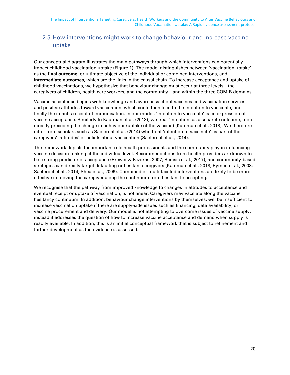## <span id="page-20-0"></span>2.5.How interventions might work to change behaviour and increase vaccine uptake

Our conceptual diagram illustrates the main pathways through which interventions can potentially impact childhood vaccination uptake [\(Figure 1\)](#page-21-0). The model distinguishes between 'vaccination uptake' as the **final outcome**, or ultimate objective of the individual or combined interventions, and **intermediate outcomes**, which are the links in the causal chain. To increase acceptance and uptake of childhood vaccinations, we hypothesize that behaviour change must occur at three levels—the caregivers of children, health care workers, and the community—and within the three COM-B domains.

Vaccine acceptance begins with knowledge and awareness about vaccines and vaccination services, and positive attitudes toward vaccination, which could then lead to the intention to vaccinate, and finally the infant's receipt of immunisation. In our model, 'intention to vaccinate' is an expression of vaccine acceptance. Similarly to Kaufman et al. (2018), we treat 'intention' as a separate outcome, more directly preceding the change in behaviour (uptake of the vaccine) (Kaufman et al., 2018). We therefore differ from scholars such as Saeterdal et al. (2014) who treat 'intention to vaccinate' as part of the caregivers' 'attitudes' or beliefs about vaccination (Saeterdal et al., 2014).

The framework depicts the important role health professionals and the community play in influencing vaccine decision-making at the individual level. Recommendations from health providers are known to be a strong predictor of acceptance (Brewer & Fazekas, 2007; Radisic et al., 2017), and community-based strategies can directly target defaulting or hesitant caregivers (Kaufman et al., 2018; Ryman et al., 2008; Saeterdal et al., 2014; Shea et al., 2009). Combined or multi-faceted interventions are likely to be more effective in moving the caregiver along the continuum from hesitant to accepting.

We recognise that the pathway from improved knowledge to changes in attitudes to acceptance and eventual receipt or uptake of vaccination, is not linear. Caregivers may vacillate along the vaccine hesitancy continuum. In addition, behaviour change interventions by themselves, will be insufficient to increase vaccination uptake if there are supply-side issues such as financing, data availability, or vaccine procurement and delivery. Our model is not attempting to overcome issues of vaccine supply, instead it addresses the question of how to increase vaccine acceptance and demand when supply is readily available. In addition, this is an initial conceptual framework that is subject to refinement and further development as the evidence is assessed.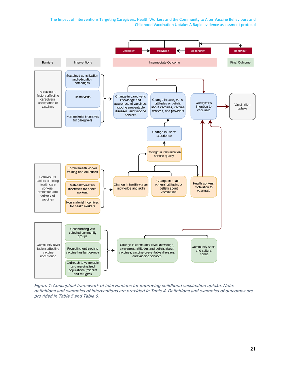The Impact of Interventions Targeting Caregivers, Health Workers and the Community to Alter Vaccine Behaviours and Childhood Vaccination Uptake: A Rapid evidence assessment protocol



<span id="page-21-0"></span>Figure 1: Conceptual framework of interventions for improving childhood vaccination uptake. Note: definitions and examples of interventions are provided in [Table 4.](#page-13-0) Definitions and examples of outcomes are provided i[n Table 5](#page-16-0) and [Table 6.](#page-18-0)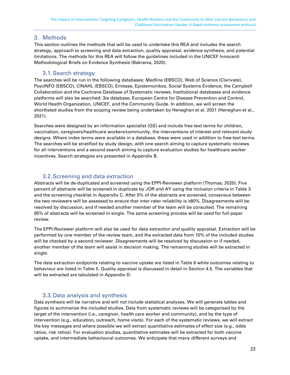### <span id="page-22-0"></span>3. Methods

This section outlines the methods that will be used to undertake this REA and includes the search strategy, approach to screening and data extraction, quality appraisal, evidence synthesis, and potential limitations. The methods for this REA will follow the guidelines included in the UNICEF Innocenti Methodological Briefs on Evidence Synthesis (Bakrania, 2020).

#### 3.1.Search strategy

<span id="page-22-1"></span>The searches will be run in the following databases: Medline (EBSCO), Web of Science (Clarivate), PsycINFO (EBSCO), CINAHL (EBSCO), Embase, Epistemonikos, Social Systems Evidence, the Campbell Collaboration and the Cochrane Database of Systematic reviews. Institutional databases and evidence platforms will also be searched: 3ie database, European Centre for Disease Prevention and Control, World Health Organization, UNICEF, and the Community Guide. In addition, we will screen the shortlisted studies from the scoping review being undertaken by Heneghan et al. 2021 (Heneghan et al., 2021).

Searches were designed by an information specialist (GS) and include free-text terms for children, vaccination, caregivers/healthcare workers/community, the interventions of interest and relevant study designs. Where index terms were available in a database, these were used in addition to free-text terms. The searches will be stratified by study design, with one search aiming to capture systematic reviews for all interventions and a second search aiming to capture evaluation studies for healthcare worker incentives. Search strategies are presented in [Appendix B.](#page-29-0)

## 3.2.Screening and data extraction

<span id="page-22-2"></span>Abstracts will be de-duplicated and screened using the EPPI-Reviewer platform (Thomas, 2020). Five percent of abstracts will be screened in duplicate by JOR and AY using the inclusion criteria in [Table 3](#page-9-2) and the screening checklist in [Appendix C.](#page-31-0) After 5% of the abstracts are screened, consensus between the two reviewers will be assessed to ensure that inter-rater reliability is ≥80%. Disagreements will be resolved by discussion, and if needed another member of the team will be consulted. The remaining 95% of abstracts will be screened in single. The same screening process will be used for full-paper review.

The EPPI-Reviewer platform will also be used for data extraction and quality appraisal. Extraction will be performed by one member of the review team, and the extracted data from 10% of the included studies will be checked by a second reviewer. Disagreements will be resolved by discussion or if needed, another member of the team will assist in decision making. The remaining studies will be extracted in single.

The data extraction endpoints relating to vaccine uptake are listed in [Table 6](#page-18-0) while outcomes relating to behaviour are listed in [Table 5.](#page-16-0) Quality appraisal is discussed in detail in Sectio[n 4.5.](#page-23-0) The variables that will be extracted are tabulated in [Appendix D.](#page-31-0)

## 3.3.Data analysis and synthesis

<span id="page-22-3"></span>Data synthesis will be narrative and will not include statistical analyses. We will generate tables and figures to summarise the included studies. Data from systematic reviews will be categorised by the target of the intervention (i.e., caregiver, health care worker and community), and by the type of intervention (e.g., education, outreach, home visits). For each of the systematic reviews, we will extract the key messages and where possible we will extract quantitative estimates of effect size (e.g., odds ratios, risk ratios). For evaluation studies, quantitative estimates will be extracted for both vaccine uptake, and intermediate behavioural outcomes. We anticipate that many different surveys and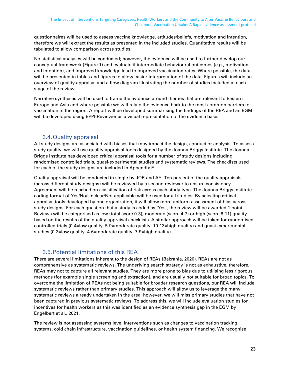questionnaires will be used to assess vaccine knowledge, attitudes/beliefs, motivation and intention, therefore we will extract the results as presented in the included studies. Quantitative results will be tabulated to allow comparison across studies.

No statistical analyses will be conducted; however, the evidence will be used to further develop our conceptual framework [\(Figure 1\)](#page-21-0) and evaluate if intermediate behavioural outcomes (e.g., motivation and intention), and improved knowledge lead to improved vaccination rates. Where possible, the data will be presented in tables and figures to allow easier interpretation of the data. Figures will include an overview of quality appraisal and a flow diagram illustrating the number of studies included at each stage of the review.

Narrative syntheses will be used to frame the evidence around themes that are relevant to Eastern Europe and Asia and where possible we will relate the evidence back to the most common barriers to vaccination in the region. A report will be developed summarising the findings of the REA and an EGM will be developed using EPPI-Reviewer as a visual representation of the evidence base.

#### 3.4.Quality appraisal

<span id="page-23-0"></span>All study designs are associated with biases that may impact the design, conduct or analysis. To assess study quality, we will use quality appraisal tools designed by the Joanna Briggs Institute. The Joanna Briggs Institute has developed critical appraisal tools for a number of study designs including randomised controlled trials, quasi-experimental studies and systematic reviews. The checklists used for each of the study designs are included in [Appendix E.](#page-34-0)

Quality appraisal will be conducted in single by JOR and AY. Ten percent of the quality appraisals (across different study designs) will be reviewed by a second reviewer to ensure consistency. Agreement will be reached on classification of risk across each study type. The Joanna Briggs Institute coding format of Yes/No/Unclear/Not applicable will be used for all studies. By selecting critical appraisal tools developed by one organization, it will allow more uniform assessment of bias across study designs. For each question that a study is coded as 'Yes', the review will be awarded 1 point. Reviews will be categorised as low (total score 0-3), moderate (score 4-7) or high (score 8-11) quality based on the results of the quality appraisal checklists. A similar approach will be taken for randomised controlled trials (0-4=low quality, 5-9=moderate quality, 10-13=high quality) and quasi-experimental studies (0-3=low quality, 4-6=moderate quality, 7-9=high quality).

## 3.5.Potential limitations of this REA

<span id="page-23-1"></span>There are several limitations inherent to the design of REAs (Bakrania, 2020). REAs are not as comprehensive as systematic reviews. The underlying search strategy is not as exhaustive, therefore, REAs may not to capture all relevant studies. They are more prone to bias due to utilising less rigorous methods (for example single screening and extraction), and are usually not suitable for broad topics. To overcome the limitation of REAs not being suitable for broader research questions, our REA will include systematic reviews rather than primary studies. This approach will allow us to leverage the many systematic reviews already undertaken in the area, however, we will miss primary studies that have not been captured in previous systematic reviews. To address this, we will include evaluation studies for incentives for health workers as this was identified as an evidence synthesis gap in the EGM by Engelbert et al., 2021.

The review is not assessing systems level interventions such as changes to vaccination tracking systems, cold chain infrastructure, vaccination guidelines, or health system financing. We recognise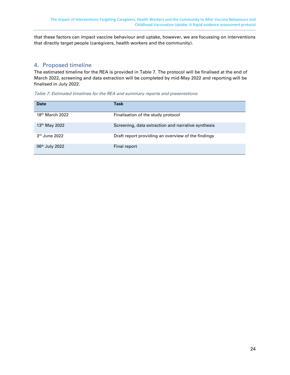that these factors can impact vaccine behaviour and uptake, however, we are focussing on interventions that directly target people (caregivers, health workers and the community).

## <span id="page-24-0"></span>4. Proposed timeline

The estimated timeline for the REA is provided in [Table 7.](#page-24-1) The protocol will be finalised at the end of March 2022, screening and data extraction will be completed by mid-May 2022 and reporting will be finalised in July 2022.

<span id="page-24-1"></span>Table 7: Estimated timelines for the REA and summary reports and presentations

| <b>Date</b>                | Task                                               |
|----------------------------|----------------------------------------------------|
| $18th$ March 2022          | Finalisation of the study protocol                 |
| 13th May 2022              | Screening, data extraction and narrative synthesis |
| $3rd$ June 2022            | Draft report providing an overview of the findings |
| 06 <sup>th</sup> July 2022 | Final report                                       |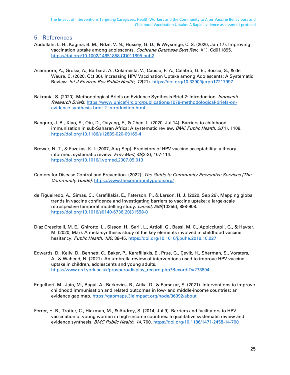#### <span id="page-25-0"></span>5. References

- Abdullahi, L. H., Kagina, B. M., Ndze, V. N., Hussey, G. D., & Wiysonge, C. S. (2020, Jan 17). Improving vaccination uptake among adolescents. Cochrane Database Syst Rev, 1(1), Cd011895. <https://doi.org/10.1002/14651858.CD011895.pub2>
- Acampora, A., Grossi, A., Barbara, A., Colamesta, V., Causio, F. A., Calabrò, G. E., Boccia, S., & de Waure, C. (2020, Oct 30). Increasing HPV Vaccination Uptake among Adolescents: A Systematic Review. Int J Environ Res Public Health, 17(21). https://doi.org/10.3390/ijerph17217997
- Bakrania, S. (2020). Methodological Briefs on Evidence Synthesis Brief 2: Introduction. *Innocenti* Research Briefs. [https://www.unicef-irc.org/publications/1078-methodological-briefs-on](https://www.unicef-irc.org/publications/1078-methodological-briefs-on-evidence-synthesis-brief-2-introduction.html)[evidence-synthesis-brief-2-introduction.html](https://www.unicef-irc.org/publications/1078-methodological-briefs-on-evidence-synthesis-brief-2-introduction.html)
- Bangura, J. B., Xiao, S., Qiu, D., Ouyang, F., & Chen, L. (2020, Jul 14). Barriers to childhood immunization in sub-Saharan Africa: A systematic review. BMC Public Health, 20(1), 1108. <https://doi.org/10.1186/s12889-020-09169-4>
- Brewer, N. T., & Fazekas, K. I. (2007, Aug-Sep). Predictors of HPV vaccine acceptability: a theoryinformed, systematic review. Prev Med, 45(2-3), 107-114. <https://doi.org/10.1016/j.ypmed.2007.05.013>
- Centers for Disease Control and Prevention. (2022). The Guide to Community Preventive Services (The Community Guide). <https://www.thecommunityguide.org/>
- de Figueiredo, A., Simas, C., Karafillakis, E., Paterson, P., & Larson, H. J. (2020, Sep 26). Mapping global trends in vaccine confidence and investigating barriers to vaccine uptake: a large-scale retrospective temporal modelling study. Lancet, 396(10255), 898-908. [https://doi.org/10.1016/s0140-6736\(20\)31558-0](https://doi.org/10.1016/s0140-6736(20)31558-0)
- Díaz Crescitelli, M. E., Ghirotto, L., Sisson, H., Sarli, L., Artioli, G., Bassi, M. C., Appicciutoli, G., & Hayter, M. (2020, Mar). A meta-synthesis study of the key elements involved in childhood vaccine hesitancy. Public Health, 180, 38-45.<https://doi.org/10.1016/j.puhe.2019.10.027>
- Edwards, D., Kelly, D., Bennett, C., Baker, P., Karafillakis, E., Prue, G., Çevik, H., Sherman, S., Vorsters, A., & Waheed, N. (2021). An umbrella review of interventions used to improve HPV vaccine uptake in children, adolescents and young adults. [https://www.crd.york.ac.uk/prospero/display\\_record.php?RecordID=273894](https://www.crd.york.ac.uk/prospero/display_record.php?RecordID=273894)
- Engelbert, M., Jain, M., Bagai, A., Berkovics, B., Atika, D., & Parsekar, S. (2021). Interventions to improve childhood immunisation and related outcomes in low- and middle-income countries: an evidence gap map. https://gapmaps.3ieimpact.org/node/36992/about
- Ferrer, H. B., Trotter, C., Hickman, M., & Audrey, S. (2014, Jul 9). Barriers and facilitators to HPV vaccination of young women in high-income countries: a qualitative systematic review and evidence synthesis. BMC Public Health, 14, 700. https://doi.org/10.1186/1471-2458-14-700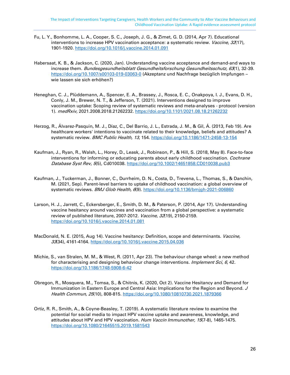- Fu, L. Y., Bonhomme, L. A., Cooper, S. C., Joseph, J. G., & Zimet, G. D. (2014, Apr 7). Educational interventions to increase HPV vaccination acceptance: a systematic review. Vaccine, 32(17), 1901-1920.<https://doi.org/10.1016/j.vaccine.2014.01.091>
- Habersaat, K. B., & Jackson, C. (2020, Jan). Understanding vaccine acceptance and demand-and ways to increase them. Bundesgesundheitsblatt Gesundheitsforschung Gesundheitsschutz, 63(1), 32-39. <https://doi.org/10.1007/s00103-019-03063-0> (Akzeptanz und Nachfrage bezüglich Impfungen – wie lassen sie sich erhöhen?)
- Heneghan, C. J., Plüddemann, A., Spencer, E. A., Brassey, J., Rosca, E. C., Onakpoya, I. J., Evans, D. H., Conly, J. M., Brewer, N. T., & Jefferson, T. (2021). Interventions designed to improve vaccination uptake: Scoping review of systematic reviews and meta-analyses - protocol (version 1). medRxiv, 2021.2008.2018.21262232.<https://doi.org/10.1101/2021.08.18.21262232>
- Herzog, R., Álvarez-Pasquin, M. J., Díaz, C., Del Barrio, J. L., Estrada, J. M., & Gil, Á. (2013, Feb 19). Are healthcare workers' intentions to vaccinate related to their knowledge, beliefs and attitudes? A systematic review. BMC Public Health, 13, 154. https://doi.org/10.1186/1471-2458-13-154
- Kaufman, J., Ryan, R., Walsh, L., Horey, D., Leask, J., Robinson, P., & Hill, S. (2018, May 8). Face-to-face interventions for informing or educating parents about early childhood vaccination. Cochrane Database Syst Rev, 5(5), Cd010038. https://doi.org/10.1002/14651858.CD010038.pub3
- Kaufman, J., Tuckerman, J., Bonner, C., Durrheim, D. N., Costa, D., Trevena, L., Thomas, S., & Danchin, M. (2021, Sep). Parent-level barriers to uptake of childhood vaccination: a global overview of systematic reviews. BMJ Glob Health, 6(9). https://doi.org/10.1136/bmjgh-2021-006860
- Larson, H. J., Jarrett, C., Eckersberger, E., Smith, D. M., & Paterson, P. (2014, Apr 17). Understanding vaccine hesitancy around vaccines and vaccination from a global perspective: a systematic review of published literature, 2007-2012. Vaccine, 32(19), 2150-2159. <https://doi.org/10.1016/j.vaccine.2014.01.081>
- MacDonald, N. E. (2015, Aug 14). Vaccine hesitancy: Definition, scope and determinants. Vaccine, 33(34), 4161-4164.<https://doi.org/10.1016/j.vaccine.2015.04.036>
- Michie, S., van Stralen, M. M., & West, R. (2011, Apr 23). The behaviour change wheel: a new method for characterising and designing behaviour change interventions. *Implement Sci, 6,* 42. <https://doi.org/10.1186/1748-5908-6-42>
- Obregon, R., Mosquera, M., Tomsa, S., & Chitnis, K. (2020, Oct 2). Vaccine Hesitancy and Demand for Immunization in Eastern Europe and Central Asia: Implications for the Region and Beyond. J Health Commun, 25(10), 808-815.<https://doi.org/10.1080/10810730.2021.1879366>
- Ortiz, R. R., Smith, A., & Coyne-Beasley, T. (2019). A systematic literature review to examine the potential for social media to impact HPV vaccine uptake and awareness, knowledge, and attitudes about HPV and HPV vaccination. Hum Vaccin Immunother, 15(7-8), 1465-1475. <https://doi.org/10.1080/21645515.2019.1581543>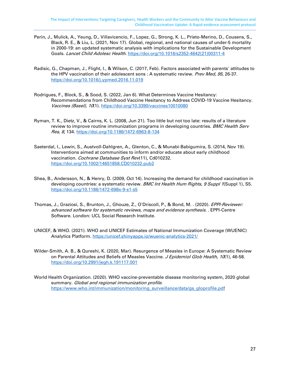- Perin, J., Mulick, A., Yeung, D., Villavicencio, F., Lopez, G., Strong, K. L., Prieto-Merino, D., Cousens, S., Black, R. E., & Liu, L. (2021, Nov 17). Global, regional, and national causes of under-5 mortality in 2000-19: an updated systematic analysis with implications for the Sustainable Development Goals. Lancet Child Adolesc Health. https://doi.org/10.1016/s2352-4642(21)00311-4
- Radisic, G., Chapman, J., Flight, I., & Wilson, C. (2017, Feb). Factors associated with parents' attitudes to the HPV vaccination of their adolescent sons : A systematic review. Prev Med, 95, 26-37. <https://doi.org/10.1016/j.ypmed.2016.11.019>
- Rodrigues, F., Block, S., & Sood, S. (2022, Jan 6). What Determines Vaccine Hesitancy: Recommendations from Childhood Vaccine Hesitancy to Address COVID-19 Vaccine Hesitancy. Vaccines (Basel), 10(1).<https://doi.org/10.3390/vaccines10010080>
- Ryman, T. K., Dietz, V., & Cairns, K. L. (2008, Jun 21). Too little but not too late: results of a literature review to improve routine immunization programs in developing countries. BMC Health Serv Res, 8, 134.<https://doi.org/10.1186/1472-6963-8-134>
- Saeterdal, I., Lewin, S., Austvoll-Dahlgren, A., Glenton, C., & Munabi-Babigumira, S. (2014, Nov 19). Interventions aimed at communities to inform and/or educate about early childhood vaccination. Cochrane Database Syst Rev(11), Cd010232. <https://doi.org/10.1002/14651858.CD010232.pub2>
- Shea, B., Andersson, N., & Henry, D. (2009, Oct 14). Increasing the demand for childhood vaccination in developing countries: a systematic review. BMC Int Health Hum Rights, 9 Suppl 1(Suppl 1), S5. <https://doi.org/10.1186/1472-698x-9-s1-s5>
- Thomas, J., Graziosi, S., Brunton, J., Ghouze, Z., O'Driscoll, P., & Bond, M. . (2020). EPPI-Reviewer: advanced software for systematic reviews, maps and evidence synthesis. . EPPI-Centre Software. London: UCL Social Research Institute.
- UNICEF, & WHO. (2021). WHO and UNICEF Estimates of National Immunization Coverage (WUENIC) Analytics Platform. https://unicef.shinyapps.io/wuenic-analytics-2021/
- Wilder-Smith, A. B., & Qureshi, K. (2020, Mar). Resurgence of Measles in Europe: A Systematic Review on Parental Attitudes and Beliefs of Measles Vaccine. J Epidemiol Glob Health, 10(1), 46-58. <https://doi.org/10.2991/jegh.k.191117.001>
- World Health Organization. (2020). WHO vaccine-preventable disease monitoring system, 2020 global summary. Global and regional immunization profile. https://www.who.int/immunization/monitoring\_surveillance/data/gs\_gloprofile.pdf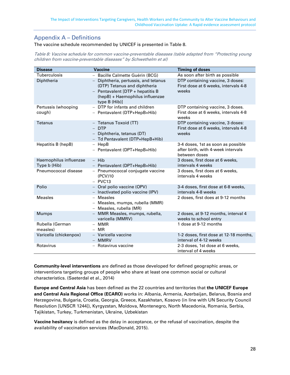# <span id="page-28-0"></span>Appendix A – Definitions

The vaccine schedule recommended by UNICEF is presented in [Table 8.](#page-28-1) 

<span id="page-28-1"></span>Table 8: Vaccine schedule for common vaccine-preventable diseases (table adapted from "Protecting young children from vaccine-preventable diseases" by Schwethelm et al)

| <b>Disease</b>                         | <b>Vaccine</b>                                                                                                                                                                                           | <b>Timing of doses</b>                                                                                               |
|----------------------------------------|----------------------------------------------------------------------------------------------------------------------------------------------------------------------------------------------------------|----------------------------------------------------------------------------------------------------------------------|
| Tuberculosis<br>Diphtheria             | - Bacille Calmette Guérin (BCG)<br>Diphtheria, pertussis, and tetanus<br>$-$<br>(DTP) Tetanus and diphtheria<br>$-$ Pentavalent [DTP + hepatitis B<br>(hepB) + Haemophilus influenzae<br>type $B(Hib)$ ] | As soon after birth as possible<br>DTP containing vaccine, 3 doses:<br>First dose at 6 weeks, intervals 4-8<br>weeks |
| Pertussis (whooping<br>cough)          | - DTP for infants and children<br>- Pentavalent (DTP+HepB+Hib)                                                                                                                                           | DTP containing vaccine, 3 doses.<br>First dose at 6 weeks, intervals 4-8<br>weeks                                    |
| <b>Tetanus</b>                         | - Tetanus Toxoid (TT)<br>$-$ DTP<br>- Diphtheria, tetanus (DT)<br>- Td Pentavalent (DTP+HepB+Hib)                                                                                                        | DTP containing vaccine, 3 doses:<br>First dose at 6 weeks, intervals 4-8<br>weeks                                    |
| Hepatitis B (hepB)                     | $-$ HepB<br>- Pentavalent (DPT+HepB+Hib)                                                                                                                                                                 | 3-4 doses, 1st as soon as possible<br>after birth, with 4-week intervals<br>between doses                            |
| Haemophilus influenzae<br>Type b (Hib) | $-$ Hib<br>- Pentavalent (DPT+HepB+Hib)                                                                                                                                                                  | 3 doses, first dose at 6 weeks,<br>intervals 4 weeks                                                                 |
| Pneumococcal disease                   | - Pneumococcal conjugate vaccine<br>(PCV)10<br>$-$ PVC13                                                                                                                                                 | 3 doses, first does at 6 weeks,<br>intervals 4 weeks                                                                 |
| Polio                                  | - Oral polio vaccine (OPV)<br>- Inactivated polio vaccine (IPV)                                                                                                                                          | 3-4 doses, first dose at 6-8 weeks,<br>intervals 4-8 weeks                                                           |
| <b>Measles</b>                         | <b>Measles</b><br>$-$<br>- Measles, mumps, rubella (MMR)<br>- Measles, rubella (MR)                                                                                                                      | 2 doses, first does at 9-12 months                                                                                   |
| <b>Mumps</b>                           | - MMR Measles, mumps, rubella,<br>varicella (MMRV)                                                                                                                                                       | 2 doses, at 9-12 months, interval 4<br>weeks to school entry                                                         |
| Rubella (German<br>measles)            | <b>MMR</b><br>$-$ MR                                                                                                                                                                                     | 1 dose at 9-12 months                                                                                                |
| Varicella (chickenpox)                 | - Varicella vaccine<br>$-$ MMRV                                                                                                                                                                          | 1-2 doses, first dose at 12-18 months,<br>interval of 4-12 weeks                                                     |
| Rotavirus                              | Rotavirus vaccine                                                                                                                                                                                        | 2-3 doses, 1st dose at 6 weeks,<br>interval of 4 weeks                                                               |

**Community-level interventions** are defined as those developed for defined geographic areas, or interventions targeting groups of people who share at least one common social or cultural characteristics. (Saeterdal et al., 2014)

**Europe and Central Asia** has been defined as the 22 countries and territories that **the UNICEF Europe and Central Asia Regional Office (ECARO)** works in: Albania, Armenia, Azerbaijan, Belarus, Bosnia and Herzegovina, Bulgaria, Croatia, Georgia, Greece, Kazakhstan, Kosovo (in line with UN Security Council Resolution [UNSCR 1244]), Kyrgyzstan, Moldova, Montenegro, North Macedonia, Romania, Serbia, Tajikistan, Turkey, Turkmenistan, Ukraine, Uzbekistan

**Vaccine hesitancy** is defined as the delay in acceptance, or the refusal of vaccination, despite the availability of vaccination services (MacDonald, 2015).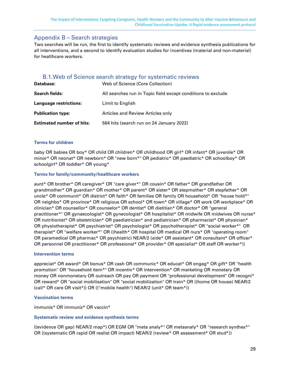## <span id="page-29-0"></span>Appendix B – Search strategies

Two searches will be run, the first to identify systematic reviews and evidence synthesis publications for all interventions, and a second to identify evaluation studies for incentives (material and non-material) for healthcare workers.

#### B.1.Web of Science search strategy for systematic reviews

<span id="page-29-1"></span>

| Database:                        | Web of Science (Core Collection)                             |
|----------------------------------|--------------------------------------------------------------|
| <b>Search fields:</b>            | All searches run in Topic field except conditions to exclude |
| Language restrictions:           | Limit to English                                             |
| <b>Publication type:</b>         | Articles and Review Articles only                            |
| <b>Estimated number of hits:</b> | 564 hits (search run on 24 January 2022)                     |

#### **Terms for children**

baby OR babies OR boy\* OR child OR children\* OR childhood OR girl\* OR infant\* OR juvenile\* OR minor\* OR neonat\* OR newborn\* OR "new born\*" OR pediatric\* OR paediatric\* OR schoolboy\* OR schoolgirl\* OR toddler\* OR young\*

#### **Terms for family/community/healthcare workers**

aunt\* OR brother\* OR caregiver\* OR "care giver\*" OR cousin\* OR father\* OR grandfather OR grandmother\* OR guardian\* OR mother\* OR parent\* OR sister\* OR stepmother\* OR stepfather\* OR uncle\* OR communit\* OR district\* OR faith\* OR families OR family OR household\* OR "house hold\*" OR neighbo\* OR province\* OR religious OR school\* OR town\* OR village\* OR work OR workplace\* OR clinician\* OR counsellor\* OR counselor\* OR dentist\* OR dietitian\* OR doctor\* OR "general practitioner\*" OR gynaecologist\* OR gynecologist\* OR hospitalist\* OR midwife OR midwives OR nurse\* OR nutritionist\* OR obstetrician\* OR paediatrician\* and pediatrician\* OR pharmacist\* OR physician\* OR physiotherapist\* OR psychiatrist\* OR psychologist\* OR psychotherapist\* OR "social worker\*" OR therapist\* OR "welfare worker\*" OR ((health\* OR hospital OR medical OR nurs\* OR "operating room" OR paramedical OR pharmac\* OR psychiatric) NEAR/2 (aide\* OR assistant\* OR consultant\* OR officer\* OR personnel OR practitioner\* OR professional\* OR provider\* OR specialist\* OR staff OR worker\*))

#### **Intervention terms**

appreciat\* OR award\* OR bonus\* OR cash OR communic\* OR educat\* OR engag\* OR gift\* OR "health promotion" OR "household item\*" OR incentiv\* OR intervention\* OR marketing OR monetary OR money OR nonmonetary OR outreach OR pay OR payment OR "professional development" OR recogni\* OR reward\* OR "social mobilisation" OR "social mobilization" OR train\* OR ((home OR house) NEAR/2 (call\* OR care OR visit\*)) OR (("mobile health") NEAR/2 (unit\* OR team\*))

#### **Vaccination terms**

immunis\* OR immuniz\* OR vaccin\*

#### **Systematic review and evidence synthesis terms**

((evidence OR gap) NEAR/2 map\*) OR EGM OR "meta analy\*" OR metaanaly\* OR "research synthes\*" OR ((systematic OR rapid OR realist OR impact) NEAR/2 (review\* OR assessment\* OR stud\*))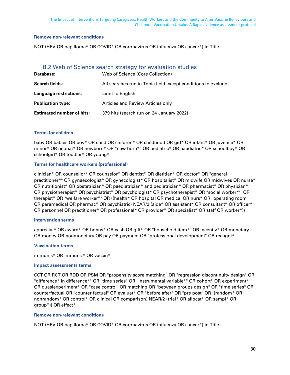#### **Remove non-relevant conditions**

NOT (HPV OR papilloma\* OR COVID\* OR coronavirus OR influenza OR cancer\*) in Title

#### B.2.Web of Science search strategy for evaluation studies

<span id="page-30-0"></span>

| Database:                        | Web of Science (Core Collection)                             |
|----------------------------------|--------------------------------------------------------------|
| <b>Search fields:</b>            | All searches run in Topic field except conditions to exclude |
| Language restrictions:           | Limit to English                                             |
| <b>Publication type:</b>         | Articles and Review Articles only                            |
| <b>Estimated number of hits:</b> | 379 hits (search run on 24 January 2022)                     |

#### **Terms for children**

baby OR babies OR boy\* OR child OR children\* OR childhood OR girl\* OR infant\* OR juvenile\* OR minor\* OR neonat\* OR newborn\* OR "new born\*" OR pediatric\* OR paediatric\* OR schoolboy\* OR schoolgirl\* OR toddler\* OR young\*

#### **Terms for healthcare workers (professional)**

clinician\* OR counsellor\* OR counselor\* OR dentist\* OR dietitian\* OR doctor\* OR "general practitioner\*" OR gynaecologist\* OR gynecologist\* OR hospitalist\* OR midwife OR midwives OR nurse\* OR nutritionist\* OR obstetrician\* OR paediatrician\* and pediatrician\* OR pharmacist\* OR physician\* OR physiotherapist\* OR psychiatrist\* OR psychologist\* OR psychotherapist\* OR "social worker\*" OR therapist\* OR "welfare worker\*" OR ((health\* OR hospital OR medical OR nurs\* OR "operating room" OR paramedical OR pharmac\* OR psychiatric) NEAR/2 (aide\* OR assistant\* OR consultant\* OR officer\* OR personnel OR practitioner\* OR professional\* OR provider\* OR specialist\* OR staff OR worker\*))

#### **Intervention terms**

appreciat\* OR award\* OR bonus\* OR cash OR gift\* OR "household item\*" OR incentiv\* OR monetary OR money OR nonmonetary OR pay OR payment OR "professional development" OR recogni\*

#### **Vaccination terms**

immunis\* OR immuniz\* OR vaccin\*

#### **Impact assessments terms**

CCT OR RCT OR RDD OR PSM OR "propensity score matching" OR "regression discontinuity design" OR "difference\* in difference\*" OR "time series" OR "instrumental variable\*" OR cohort\* OR experiment\* OR quasiexperiment\* OR "case control" OR matching OR "between groups design" OR "time series" OR counterfactual OR "counter factual" OR evaluat\* OR "before after" OR "pre post" OR ((random\* OR nonrandom\* OR control\* OR clinical OR comparison) NEAR/2 (trial\* OR allocat\* OR sampl\* OR group\*)) OR effect\*

#### **Remove non-relevant conditions**

NOT (HPV OR papilloma\* OR COVID\* OR coronavirus OR influenza OR cancer\*) in Title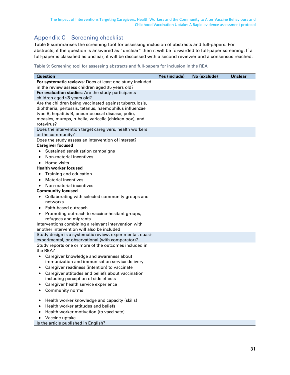## <span id="page-31-0"></span>Appendix C – Screening checklist

[Table 9](#page-31-1) summarises the screening tool for assessing inclusion of abstracts and full-papers. For abstracts, if the question is answered as "unclear" then it will be forwarded to full-paper screening. If a full-paper is classified as unclear, it will be discussed with a second reviewer and a consensus reached.

#### <span id="page-31-1"></span>Table 9: Screening tool for assessing abstracts and full-papers for inclusion in the REA

| <b>Question</b>                                                                                            | Yes (include) | No (exclude) | <b>Unclear</b> |
|------------------------------------------------------------------------------------------------------------|---------------|--------------|----------------|
| For systematic reviews: Does at least one study included                                                   |               |              |                |
| in the review assess children aged $\leq$ 5 years old?                                                     |               |              |                |
| For evaluation studies: Are the study participants                                                         |               |              |                |
| children aged ≤5 years old?                                                                                |               |              |                |
| Are the children being vaccinated against tuberculosis,                                                    |               |              |                |
| diphtheria, pertussis, tetanus, haemophilus influenzae                                                     |               |              |                |
| type B, hepatitis B, pneumococcal disease, polio,                                                          |               |              |                |
| measles, mumps, rubella, varicella (chicken pox), and                                                      |               |              |                |
| rotavirus?                                                                                                 |               |              |                |
| Does the intervention target caregivers, health workers<br>or the community?                               |               |              |                |
| Does the study assess an intervention of interest?                                                         |               |              |                |
| <b>Caregiver focused</b>                                                                                   |               |              |                |
| Sustained sensitization campaigns<br>$\bullet$                                                             |               |              |                |
| Non-material incentives<br>$\bullet$                                                                       |               |              |                |
| Home visits<br>$\bullet$                                                                                   |               |              |                |
| <b>Health worker focused</b>                                                                               |               |              |                |
| Training and education<br>٠                                                                                |               |              |                |
| <b>Material incentives</b><br>$\bullet$                                                                    |               |              |                |
| Non-material incentives<br>$\bullet$                                                                       |               |              |                |
| <b>Community focused</b>                                                                                   |               |              |                |
| Collaborating with selected community groups and<br>$\bullet$                                              |               |              |                |
| networks                                                                                                   |               |              |                |
| Faith-based outreach<br>$\bullet$                                                                          |               |              |                |
| Promoting outreach to vaccine-hesitant groups,<br>$\bullet$                                                |               |              |                |
| refugees and migrants                                                                                      |               |              |                |
| Interventions combining a relevant intervention with                                                       |               |              |                |
| another intervention will also be included                                                                 |               |              |                |
| Study design is a systematic review, experimental, quasi-                                                  |               |              |                |
| experimental, or observational (with comparator)?<br>Study reports one or more of the outcomes included in |               |              |                |
| the REA?                                                                                                   |               |              |                |
| Caregiver knowledge and awareness about<br>$\bullet$                                                       |               |              |                |
| immunization and immunisation service delivery                                                             |               |              |                |
| Caregiver readiness (intention) to vaccinate<br>$\bullet$                                                  |               |              |                |
| Caregiver attitudes and beliefs about vaccination<br>٠                                                     |               |              |                |
| including perception of side effects                                                                       |               |              |                |
| Caregiver health service experience                                                                        |               |              |                |
| <b>Community norms</b>                                                                                     |               |              |                |
| Health worker knowledge and capacity (skills)<br>٠                                                         |               |              |                |
| Health worker attitudes and beliefs<br>٠                                                                   |               |              |                |
| Health worker motivation (to vaccinate)<br>$\bullet$                                                       |               |              |                |
| Vaccine uptake<br>٠                                                                                        |               |              |                |
| Is the article published in English?                                                                       |               |              |                |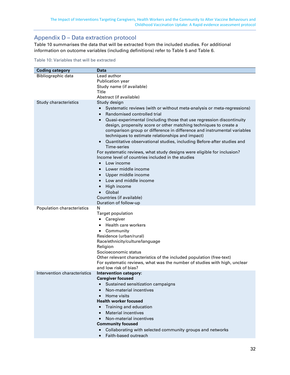# <span id="page-32-0"></span>Appendix D – Data extraction protocol

[Table 10](#page-32-1) summarises the data that will be extracted from the included studies. For additional information on outcome variables (including definitions) refer to [Table 5](#page-16-0) and [Table 6.](#page-18-0)

<span id="page-32-1"></span>Table 10: Variables that will be extracted

| <b>Coding category</b>       | Data                                                                                |
|------------------------------|-------------------------------------------------------------------------------------|
| Bibliographic data           | Lead author                                                                         |
|                              | <b>Publication year</b>                                                             |
|                              | Study name (if available)                                                           |
|                              | Title                                                                               |
|                              | Abstract (if available)                                                             |
| Study characteristics        | Study design                                                                        |
|                              | Systematic reviews (with or without meta-analysis or meta-regressions)<br>$\bullet$ |
|                              | Randomised controlled trial<br>$\bullet$                                            |
|                              | Quasi-experimental (including those that use regression discontinuity               |
|                              | design, propensity score or other matching techniques to create a                   |
|                              | comparison group or difference in difference and instrumental variables             |
|                              | techniques to estimate relationships and impact)                                    |
|                              | Quantitative observational studies, including Before-after studies and<br>$\bullet$ |
|                              | Time-series                                                                         |
|                              | For systematic reviews, what study designs were eligible for inclusion?             |
|                              | Income level of countries included in the studies                                   |
|                              | Low income<br>$\bullet$                                                             |
|                              | Lower middle income                                                                 |
|                              | Upper middle income                                                                 |
|                              | Low and middle income                                                               |
|                              | High income<br>$\bullet$                                                            |
|                              | Global                                                                              |
|                              | Countries (if available)                                                            |
|                              | Duration of follow-up<br>N                                                          |
| Population characteristics   | <b>Target population</b>                                                            |
|                              | Caregiver<br>٠                                                                      |
|                              | Health care workers                                                                 |
|                              | Community<br>$\bullet$                                                              |
|                              | Residence (urban/rural)                                                             |
|                              | Race/ethnicity/culture/language                                                     |
|                              | Religion                                                                            |
|                              | Socioeconomic status                                                                |
|                              | Other relevant characteristics of the included population (free-text)               |
|                              | For systematic reviews, what was the number of studies with high, unclear           |
|                              | and low risk of bias?                                                               |
| Intervention characteristics | <b>Intervention category:</b>                                                       |
|                              | <b>Caregiver focused</b>                                                            |
|                              | Sustained sensitization campaigns                                                   |
|                              | Non-material incentives                                                             |
|                              | Home visits                                                                         |
|                              | <b>Health worker focused</b>                                                        |
|                              | Training and education                                                              |
|                              | <b>Material incentives</b><br>$\bullet$                                             |
|                              | Non-material incentives<br>$\bullet$                                                |
|                              | <b>Community focused</b>                                                            |
|                              | Collaborating with selected community groups and networks                           |
|                              | Faith-based outreach<br>$\bullet$                                                   |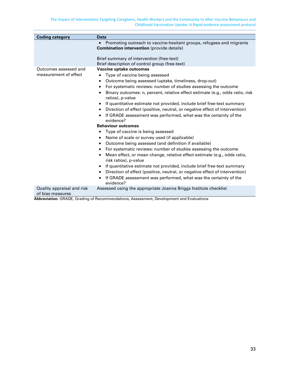| Promoting outreach to vaccine-hesitant groups, refugees and migrants<br><b>Combination intervention</b> (provide details)<br>Brief summary of intervention (free-text)<br>Brief description of control group (free-text)<br>Outcomes assessed and<br>Vaccine uptake outcomes<br>measurement of effect<br>Type of vaccine being assessed<br>٠<br>Outcome being assessed (uptake, timeliness, drop-out)<br>For systematic reviews: number of studies assessing the outcome<br>٠<br>Binary outcomes: n, percent, relative effect estimate (e.g., odds ratio, risk<br>ratios), p-value<br>If quantitative estimate not provided, include brief free-text summary<br>Direction of effect (positive, neutral, or negative effect of intervention)<br>If GRADE assessment was performed, what was the certainty of the<br>evidence?<br><b>Behaviour outcomes</b><br>Type of vaccine is being assessed<br>٠<br>Name of scale or survey used (if applicable)<br>Outcome being assessed (and definition if available)<br>٠<br>For systematic reviews: number of studies assessing the outcome<br>٠<br>Mean effect, or mean change, relative effect estimate (e.g., odds ratio,<br>risk ratios), p-value<br>If quantitative estimate not provided, include brief free-text summary<br>Direction of effect (positive, neutral, or negative effect of intervention)<br>If GRADE assessment was performed, what was the certainty of the<br>evidence?<br>Quality appraisal and risk<br>Assessed using the appropriate Joanna Briggs Institute checklist<br>of bias measures<br>Abbreviation: GRADE, Grading of Recommendations, Assessment, Development and Evaluations |                        |             |
|-----------------------------------------------------------------------------------------------------------------------------------------------------------------------------------------------------------------------------------------------------------------------------------------------------------------------------------------------------------------------------------------------------------------------------------------------------------------------------------------------------------------------------------------------------------------------------------------------------------------------------------------------------------------------------------------------------------------------------------------------------------------------------------------------------------------------------------------------------------------------------------------------------------------------------------------------------------------------------------------------------------------------------------------------------------------------------------------------------------------------------------------------------------------------------------------------------------------------------------------------------------------------------------------------------------------------------------------------------------------------------------------------------------------------------------------------------------------------------------------------------------------------------------------------------------------------------------------------------------------------------------------------------------|------------------------|-------------|
|                                                                                                                                                                                                                                                                                                                                                                                                                                                                                                                                                                                                                                                                                                                                                                                                                                                                                                                                                                                                                                                                                                                                                                                                                                                                                                                                                                                                                                                                                                                                                                                                                                                           | <b>Coding category</b> | <b>Data</b> |
|                                                                                                                                                                                                                                                                                                                                                                                                                                                                                                                                                                                                                                                                                                                                                                                                                                                                                                                                                                                                                                                                                                                                                                                                                                                                                                                                                                                                                                                                                                                                                                                                                                                           |                        |             |
|                                                                                                                                                                                                                                                                                                                                                                                                                                                                                                                                                                                                                                                                                                                                                                                                                                                                                                                                                                                                                                                                                                                                                                                                                                                                                                                                                                                                                                                                                                                                                                                                                                                           |                        |             |
|                                                                                                                                                                                                                                                                                                                                                                                                                                                                                                                                                                                                                                                                                                                                                                                                                                                                                                                                                                                                                                                                                                                                                                                                                                                                                                                                                                                                                                                                                                                                                                                                                                                           |                        |             |
|                                                                                                                                                                                                                                                                                                                                                                                                                                                                                                                                                                                                                                                                                                                                                                                                                                                                                                                                                                                                                                                                                                                                                                                                                                                                                                                                                                                                                                                                                                                                                                                                                                                           |                        |             |

**Abbreviation:** GRADE, Grading of Recommendations, Assessment, Development and Evaluations